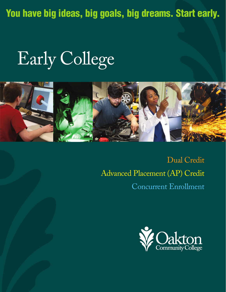**You have big ideas, big goals, big dreams. Start early.**

# Early College



Dual Credit Advanced Placement (AP) Credit Concurrent Enrollment

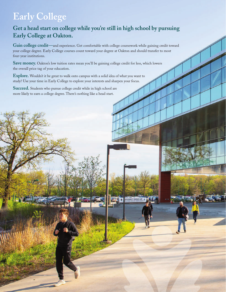# **Early College**

# **Get a head start on college while you're still in high school by pursuing Early College at Oakton.**

Gain college credit—and experience. Get comfortable with college coursework while gaining credit toward your college degree. Early College courses count toward your degree at Oakton and should transfer to most four-year institutions.

**Save money.** Oakton's low tuition rates mean you'll be gaining college credit for less, which lowers the overall price tag of your education.

**Explore.** Wouldn't it be great to walk onto campus with a solid idea of what you want to study? Use your time in Early College to explore your interests and sharpen your focus.

**Succeed.** Students who pursue college credit while in high school are more likely to earn a college degree. There's nothing like a head start.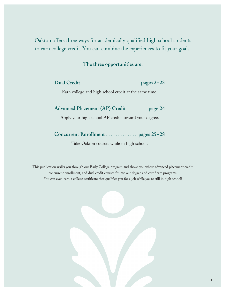Oakton offers three ways for academically qualified high school students to earn college credit. You can combine the experiences to fit your goals.

# **The three opportunities are:**

|--|--|

Earn college and high school credit at the same time.

# **Advanced Placement (AP) Credit . . . . . . . . . . . . [page 24](#page-25-0)**

Apply your high school AP credits toward your degree.

# **Concurrent Enrollment . . . . . . . . . . . . . . . . . . . [pages 25-28](#page-26-0)**

Take Oakton courses while in high school.

This publication walks you through our Early College program and shows you where advanced placement credit, concurrent enrollment, and dual credit courses fit into our degree and certificate programs. You can even earn a college certificate that qualifies you for a job while you're still in high school!

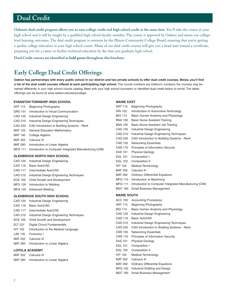<span id="page-3-0"></span>**Oakton's dual credit program allows you to earn college credit and high school credit at the same time.** You'll take the course at your high school and it will be taught by a qualified high school faculty member. The course is approved by Oakton and meets our collegelevel learning outcomes. The dual credit program is overseen by the Illinois Community College Board, ensuring that you're getting a quality college education in your high school course. Many of our dual credit courses will give you a head start toward a certificate, preparing you for a career or further technical education by the time you graduate high school.

**Dual Credit courses are identified in bold green throughout this brochure.**

# **Early College Dual Credit Offerings**

**Oakton has partnerships with every public school in our district and two private schools to offer dual credit courses. Below, you'll find a list of the dual credit courses offered at each participating high school.** The course numbers are Oakton's numbers; the courses may be named differently in your high school course catalog. Meet with your high school counselor or identified dual credit liaison to enroll. The latest offerings can be found at www.oakton.edu/earlycollege.

#### **EVANSTON TOWNSHIP HIGH SCHOOL**

ART 115 Beginning Photography GRD 101 Introduction to Visual Communication CAD 105 Industrial Design Engineering CAD 210 Industrial Design Engineering Techniques CAD 220 CAD Introduction to Building Systems - Revit MAT 125 General Education Mathematics MAT 140 College Algebra MAT 252 Calculus III MAT 260 Introduction to Linear Algebra MFG 111 Introduction to Computer Integrated Manufacturing (CIM)

#### **GLENBROOK NORTH HIGH SCHOOL**

- CAD 105 Industrial Design Engineering
- CAD 116 Basic AutoCAD
- CAD 117 Intermediate AutoCAD
- CAD 210 Industrial Design Engineering Techniques
- ECE 102 Child Growth and Development
- MFG 120 Introduction to Welding
- MFG 125 Advanced Welding

#### **GLENBROOK SOUTH HIGH SCHOOL**

- CAD 105 Industrial Design Engineering
- CAD 116 Basic AutoCAD
- CAD 117 Intermediate AutoCAD
- CAD 210 Industrial Design Engineering Techniques
- ECE 102 Child Growth and Development
- ELT 221 Digital Circuit Fundamentals
- HIT 103 Introduction to the Medical Language
- LAE 135 Forensics I
- MAT 252 Calculus III
- MAT 260 Introduction to Linear Algebra

#### **LOYOLA ACADEMY**

- MAT 252 Calculus III
- MAT 260 Introduction to Linear Algebra

#### **MAINE EAST**

| ART 115            | Beginning Photography                                   |
|--------------------|---------------------------------------------------------|
| ATA 102            | Introduction to Automotive Technology                   |
| <b>BIO 114</b>     | Basic Human Anatomy and Physiology                      |
| <b>BNA 100</b>     | <b>Basic Nurse Assistant Training</b>                   |
| <b>BNA 105</b>     | Basic Nurse Assistant Job Training                      |
| <b>CAD 105</b>     | Industrial Design Engineering                           |
| CAD 210            | Industrial Design Engineering Techniques                |
| CAD 220            | CAD Introduction to Building Systems - Revit            |
| <b>CNS 105</b>     | <b>Networking Essentials</b>                            |
| <b>CNS 170</b>     | Principles of Information Security                      |
| EAS 101            | <b>Physical Geology</b>                                 |
| <b>EGL 101</b>     | Composition I                                           |
| <b>EGL 102</b>     | Composition II                                          |
| <b>HIT 104</b>     | <b>Medical Terminology</b>                              |
| <b>MAT 252</b>     | Calculus III                                            |
| <b>MAT 262</b>     | <b>Ordinary Differential Equations</b>                  |
| <b>MFG 110</b>     | Introduction to Machining                               |
| <b>MFG 111</b>     | Introduction to Computer Integrated Manufacturing (CIM) |
| MGT 160            | Small Business Management                               |
| <b>MAINE SOUTH</b> |                                                         |
| ACC 100            | <b>Accounting Procedures</b>                            |
| ART 115            | <b>Beginning Photography</b>                            |
| BIO 114            | Basic Human Anatomy and Physiology                      |
| CAD 105            | <b>Industrial Design Engineering</b>                    |
| CAD 116            | Basic AutoCAD                                           |
| CAD 210            | <b>Industrial Design Engineering Techniques</b>         |
| CAD 220            | CAD Introduction to Building Systems - Revit            |
| <b>CNS 105</b>     | <b>Networking Essentials</b>                            |
| <b>CNS 170</b>     | Principles of Information Security                      |
| EAS 101            | <b>Physical Geology</b>                                 |
| <b>EGL 101</b>     | Composition I                                           |
| <b>EGL 102</b>     | Composition II                                          |
| <b>HIT 104</b>     | <b>Medical Terminology</b>                              |
| MAT 252            | Calculus III                                            |
|                    |                                                         |
| <b>MAT 262</b>     | <b>Ordinary Differential Equations</b>                  |
| MFG 102            | Industrial Drafting and Design                          |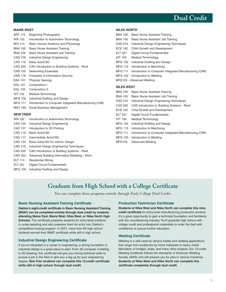

**MAINE WEST** 

| <b>ART 115</b>   | Beginning Photography                                   |
|------------------|---------------------------------------------------------|
| ATA 102          | Introduction to Automotive Technology                   |
| <b>BIO 114</b>   | Basic Human Anatomy and Physiology                      |
| <b>BNA 100</b>   | Basic Nurse Assistant Training                          |
| <b>BNA 105</b>   | Basic Nurse Assistant Job Training                      |
| CAD 105          | Industrial Design Engineering                           |
| <b>CAD 116</b>   | Basic AutoCAD                                           |
| CAD 220          | CAD Introduction to Building Systems - Revit            |
| <b>CNS 105</b>   | <b>Networking Essentials</b>                            |
| <b>CNS 170</b>   | <b>Principles of Information Security</b>               |
| <b>EAS 101</b>   | <b>Physical Geology</b>                                 |
| <b>EGL 101</b>   | Composition I                                           |
| <b>EGL 102</b>   | Composition II                                          |
| <b>HIT 104</b>   | <b>Medical Terminology</b>                              |
| <b>MFG 102</b>   | Industrial Drafting and Design                          |
| <b>MFG 111</b>   | Introduction to Computer Integrated Manufacturing (CIM) |
| <b>MGT 160</b>   | Small Business Management                               |
| <b>NEW TRIER</b> |                                                         |
| ATA 102          | Introduction to Automotive Technology                   |
| CAD 105          | Industrial Design Engineering                           |

- CAD 107 Introduction to 3D Printing
- CAD 116 Basic AutoCAD
- CAD 117 Intermediate AutoCAD
- CAD 134 Basic AutoCAD for Interior Design
- CAD 210 Industrial Design Engineering Techniques
- CAD 220 CAD Introduction to Building Systems Revit
- CAD 224 Advanced Building Information Modeling Revit
- ELT 114 Residential Wiring
- ELT 221 Digital Circuit Fundamentals
- MFG 102 Industrial Drafting and Design

#### **NILES NORTH**

| <b>BNA 100</b>    | <b>Basic Nurse Assistant Training</b>                   |
|-------------------|---------------------------------------------------------|
| <b>BNA 105</b>    | Basic Nurse Assistant Job Training                      |
| CAD 210           | Industrial Design Engineering Techniques                |
| ECE 102           | Child Growth and Development                            |
| ELT 221           | <b>Digital Circuit Fundamentals</b>                     |
| <b>HIT 104</b>    | <b>Medical Terminology</b>                              |
| MFG 102           | Industrial Drafting and Design                          |
| MFG 110           | Introduction to Machining                               |
| MFG 111           | Introduction to Computer Integrated Manufacturing (CIM) |
|                   | MFG 120 Introduction to Welding                         |
|                   | MFG125 - Advanced Welding                               |
| <b>NILES WEST</b> |                                                         |
| <b>BNA 100</b>    | Basic Nurse Assistant Training                          |
| BNA 105           | Basic Nurse Assistant Job Training                      |
| CAD 210           | Industrial Design Engineering Techniques                |
| CAD 220           | CAD Introduction to Building Systems - Revit            |
| <b>ECE 102</b>    | Child Growth and Development                            |
| ELT 221           | <b>Digital Circuit Fundamentals</b>                     |
| <b>HIT 104</b>    | <b>Medical Terminology</b>                              |
| MFG 102           | Industrial Drafting and Design                          |
| MFG 110           | Introduction to Machining                               |
| MFG 111           | Introduction to Computer Integrated Manufacturing (CIM) |
| MFG 120           | Introduction to Welding                                 |
| <b>MFG125</b>     | Advanced Welding                                        |

**Graduate from High School with a College Certificate** 

You can complete these programs entirely through Early College Dual Credit.

#### **Basic Nursing Assistant Training Certificate**

**Oakton's eight-credit certificate in Basic Nursing Assistant Training (BNAT) can be completed entirely through dual credit by students attending Maine East, Maine West, Niles West, or Niles North High Schools.** The certificate prepares students for entry-level positions in nurse assisting and also prepares them for entry into Oakton's competitive nursing program. In 2021, more than 60 high school students earned their BNAT certificate while still in high school.

#### **Industrial Design Engineering Certificate**

If you're interested in a career in engineering, a strong foundation in industrial design is a great place to start. From 3D computer modeling to 2D drawing, this certificate will give you strong technical skills to pursue a job in the field or give you a leg up for your engineering degree. **New Trier students can complete this 13-credit certificate while still in high school through dual credit.** 

#### **Production Technician Certificate**

**Students at Niles West and Niles North can complete this ninecredit certificate** for entry-level manufacturing production workers. It's a great opportunity to gain a technical foundation and familiarity with the manufacturing industry. You'll graduate high school with college credit and professional credentials to enter the field with confidence or pursue further education.

#### **Welding Certificate**

Welding is a skill used by various trades and welding applications that range from sculptures by home hobbyists to heavy metal fabrication of bridges, ships, and many other projects. Our 10-credit Welding Certificate follows the standards of American Welding Society (AWS) and will prepare you for jobs in various industries. **Students at Niles West and Niles North can complete this certificate completely through dual credit.**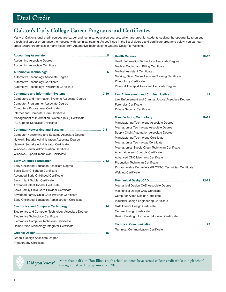# **Oakton's Early College Career Programs and Certificates**

Many of Oakton's dual credit courses are career and technical education courses, which are great for students seeking the opportunity to pursue a technical career or enhance their degree with technical training. As you'll see in the list of degree and certificate programs below, you can earn credit toward credentials in many fields, from Automotive Technology to Graphic Design to Welding.

| <b>Accounting Associate Degree</b>                   | Health Information Technology Associate Degree            |
|------------------------------------------------------|-----------------------------------------------------------|
| <b>Accounting Associate Certificate</b>              | Medical Coding and Billing Certificate                    |
|                                                      | <b>Medical Assistant Certificate</b>                      |
| Automotive Technology Associate Degree               | Nursing, Basic Nurse Assistant Training Certificate       |
| Automotive Technology Certificate                    | <b>Phlebotomy Certificate</b>                             |
| Automotive Technology Powertrain Certificate         | Physical Therapist Assistant Associate Degree             |
|                                                      |                                                           |
| Computers and Information Systems Associate Degree   | Law Enforcement and Criminal Justice Associate Degree     |
| Computer Programmer Associate Degree                 | <b>Forensics Certificate</b>                              |
| <b>Computers Programmer Certificate</b>              | <b>Private Security Certificate</b>                       |
| Internet and Computer Core Certificate               |                                                           |
| Management of Information Systems (MIS) Certificate  |                                                           |
| PC Support Specialist Certificate                    | Manufacturing Technology Associate Degree                 |
|                                                      | Mechatronics Technology Associate Degree                  |
| Computer Networking and Systems Associate Degree     | Supply Chain Automation Associate Degree                  |
| Network Security Administration Associate Degree     | Manufacturing Technology Certificate                      |
| Network Security Administrator Certificate           | Mechatronics Technology Certificate                       |
| <b>Windows Server Administration Certificate</b>     | Mechatronics Supply Chain Technician Certificate          |
| Windows Support Technician Certificate               | Automation and Controls Certificate                       |
|                                                      | <b>Advanced CNC Machinist Certificate</b>                 |
|                                                      | <b>Production Technician Certificate</b>                  |
| Early Childhood Education Associate Degree           | Programmable Controllers (PLC/PAC) Technician Certificate |
| <b>Basic Early Childhood Certificate</b>             | <b>Welding Certificate</b>                                |
| Advanced Early Childhood Certificate                 |                                                           |
| <b>Basic Infant Toddler Certificate</b>              |                                                           |
| Advanced Infant Toddler Certificate                  | Mechanical Design CAD Associate Degree                    |
| Basic Family Child Care Provider Certificate         | Mechanical Design CAD Certificate                         |
| Advanced Family Child Care Provider Certificate      | Computer Aided Design Certificate                         |
| Early Childhood Education Administration Certificate | Industrial Design Engineering Certificate                 |
|                                                      | <b>CAD Interior Design Certificate</b>                    |
| Electronics and Computer Technology Associate Degree | General Design Certificate                                |
| Electronics Technology Certificate                   | Revit - Building Information Modeling Certificate         |
| Electronics Computer Technician Certificate          |                                                           |
| Home/Office Technology Integrator Certificate        |                                                           |
|                                                      | <b>Technical Communication Certificate</b>                |

Graphic Design Associate Degree Photography Certificate

**Did you know?** More than half a million Illinois high school students have earned college credit while in high school through dual credit programs since 2010 through dual credit programs since 2010.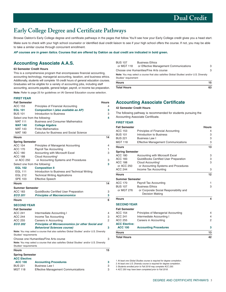# <span id="page-6-0"></span>**Early College Degree and Certificate Pathways**

Browse Oakton's Early College degree and certificate pathways in the pages that follow. You'll see how your Early College credit gives you a head start.

Make sure to check with your high school counselor or identified dual credit liaison to see if your high school offers the course. If not, you may be able to take a similar course through concurrent enrollment.

**AP courses are in green italics. Courses that are offered by Oakton as dual credit are indicated in bold green.** 

# **Accounting Associate A.A.S.**

#### **63 Semester Credit Hours**

This is a comprehensive program that encompasses financial accounting, accounting technology, managerial accounting, taxation, and business ethics. Additionally, students will complete 18 credit hours of general education courses. Graduates will be eligible for a variety of accounting jobs, including staff accounting, accounts payable, general ledger, payroll, or income tax preparation.

**Note:** Refer to page 25 for guidelines on IAI General Education course selection.

#### **FIRST YEAR**

| <b>Fall Semester</b>              |                                                                                         | <b>Hours</b> |
|-----------------------------------|-----------------------------------------------------------------------------------------|--------------|
| <b>ACC 153</b>                    | Principles of Financial Accounting                                                      | 4            |
| <b>EGL 101</b>                    | Composition I (also available as AP)                                                    | 3            |
| <b>BUS 101</b>                    | Introduction to Business                                                                | 3            |
| Select one from the following:    |                                                                                         | 4            |
| <b>MAT 111</b>                    | <b>Business and Consumer Mathematics</b>                                                |              |
| <b>MAT 140</b>                    | <b>College Algebra</b>                                                                  |              |
| <b>MAT 143</b>                    | <b>Finite Mathematics</b>                                                               |              |
| <b>MAT 180</b>                    | Calculus for Business and Social Science                                                |              |
| <b>Hours</b>                      |                                                                                         | 14           |
| <b>Spring Semester</b>            |                                                                                         |              |
| <b>ACC 154</b>                    | Principles of Managerial Accounting                                                     | 4            |
| <b>ACC 170</b>                    | Payroll Tax Accounting                                                                  | 1            |
| ACC 180                           | Accounting with Microsoft Excel                                                         | 3            |
| <b>ACC 188</b>                    | Cloud Accounting <sup>3</sup>                                                           |              |
| or ACC 250                        | or Accounting Systems and Procedures                                                    | 3            |
| Select one from the following:    |                                                                                         | 3            |
| <b>EGL 102</b>                    | <b>Composition II</b>                                                                   |              |
| <b>EGL 111</b>                    | Introduction to Business and Technical Writing                                          |              |
| <b>EGL 212</b><br><b>SPE 103</b>  | <b>Technical Writing Applications</b>                                                   |              |
|                                   | <b>Effective Speech</b>                                                                 |              |
| <b>Hours</b>                      |                                                                                         | 14           |
| <b>Summer Semester</b>            |                                                                                         |              |
| ACC 183                           | <b>QuickBooks Certified User Preparation</b>                                            | 3            |
| <b>ECO 201</b>                    | <b>Principles of Macroeconomics</b>                                                     | 3            |
| <b>Hours</b>                      |                                                                                         | 6            |
| <b>SECOND YEAR</b>                |                                                                                         |              |
| <b>Fall Semester</b>              |                                                                                         |              |
| <b>ACC 241</b>                    | Intermediate Accounting I                                                               | 4            |
| <b>ACC 244</b>                    | Income Tax Accounting                                                                   | 3            |
| <b>ACC 255</b>                    | Careers in Accounting                                                                   | 2            |
| <b>ECO 202</b>                    | <b>Principles of Microeconomics (or other Social and</b>                                |              |
|                                   | <b>Behavioral Sciences course)</b>                                                      | 3            |
| Studies <sup>2</sup> requirements | Note: You may select a course that also satisfies Global Studies' and/or U.S. Diversity |              |
|                                   | Choose one Humanities/Fine Arts course                                                  | 3            |
| Studies <sup>2</sup> requirements | Note: You may select a course that also satisfies Global Studies' and/or U.S. Diversity |              |
| <b>Hours</b>                      |                                                                                         | 15           |
| <b>Spring Semester</b>            |                                                                                         |              |
| <b>ACC Elective:</b>              |                                                                                         |              |
| <b>ACC 100</b>                    | <b>Accounting Procedures</b>                                                            | 3            |
| <b>BUS 221</b>                    | <b>Business Law I</b>                                                                   | 3            |
| <b>MGT 118</b>                    | <b>Effective Management Communications</b>                                              | 3            |
|                                   |                                                                                         |              |

| <b>BUS 107</b>                   | <b>Business Ethics</b>                                                                  |   |
|----------------------------------|-----------------------------------------------------------------------------------------|---|
| or MGT 118                       | or Effective Management Communications                                                  | З |
|                                  | Choose one Humanities/Fine Arts course                                                  | 3 |
|                                  | Note: You may select a course that also satisfies Global Studies' and/or U.S. Diversity |   |
| Studies <sup>2</sup> requirement |                                                                                         |   |
|                                  |                                                                                         |   |

| <b>Hours</b>       |     |
|--------------------|-----|
| <b>Total Hours</b> | r n |

### **Accounting Associate Certificate**

#### **42 Semester Credit Hours**

The following pathway is recommended for students pursuing the Accounting Associate Certificate.

#### **FIRST YEAR**

| <b>Fall Semester</b>   |                                                                  | <b>Hours</b>   |
|------------------------|------------------------------------------------------------------|----------------|
| ACC 153                | Principles of Financial Accounting                               | 4              |
| <b>BUS 101</b>         | Introduction to Business                                         | 3              |
| <b>BUS 221</b>         | Business Law I                                                   | 3              |
| <b>MGT 118</b>         | <b>Effective Management Communications</b>                       | 3              |
| <b>Hours</b>           |                                                                  | 13             |
| <b>Spring Semester</b> |                                                                  |                |
| <b>ACC 180</b>         | Accounting with Microsoft Excel                                  | 3              |
| ACC 183                | QuickBooks Certified User Preparation                            | 3              |
| ACC 188                | Cloud Accounting <sup>4</sup>                                    | 3              |
| or ACC 250             | or Accounting Systems and Procedures                             |                |
| <b>ACC 244</b>         | Income Tax Accounting                                            | 3              |
| Hours                  |                                                                  | 12             |
| Summer Semester        |                                                                  |                |
| <b>ACC 170</b>         | Payroll Tax Accounting                                           | 1              |
| <b>BUS 107</b>         | <b>Business Ethics</b>                                           | 3              |
| or MGT 276             | or Corporate Social Responsibility and<br><b>Decision Making</b> |                |
| Hours                  |                                                                  | 4              |
| <b>SECOND YEAR</b>     |                                                                  |                |
| <b>Fall Semester</b>   |                                                                  |                |
| <b>ACC 154</b>         | Principles of Managerial Accounting                              | 4              |
| <b>ACC 241</b>         | Intermediate Accounting I                                        | 4              |
| ACC 255                | Careers in Accounting                                            | $\overline{2}$ |
| <b>ACC Elective:</b>   |                                                                  |                |
| <b>ACC 100</b>         | <b>Accounting Procedures</b>                                     | 3              |
| <b>Hours</b>           |                                                                  | 13             |
|                        |                                                                  |                |

**Total Hours 42** 

1 At least one Global Studies course is required for degree completion.

2 At least one U.S. Diversity course is required for degree completion.

3 Students enrolled prior to Fall 2018 may complete ACC 250.

4 ACC 250 may have been completed prior to Fall 2018.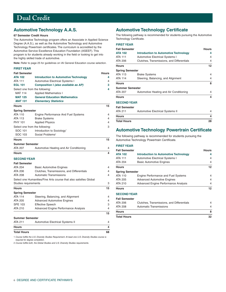# <span id="page-7-0"></span>**Automotive Technology A.A.S.**

#### **67 Semester Credit Hours**

The Automotive Technology program offers an Associate in Applied Science Degree (A.A.S.), as well as the Automotive Technology and Automotive Technology Powertrain certificates. The curriculum is accredited by the Automotive Service Excellence Education Foundation (ASEEF). This program is for students already working in the field or looking to get into the highly skilled trade of automotive.

**Note:** Refer to page 25 for guidelines on IAI General Education course selection.

#### **FIRST YEAR**

| <b>Total Hours</b>                       |                                                                      | 68           |
|------------------------------------------|----------------------------------------------------------------------|--------------|
| <b>Hours</b>                             |                                                                      | 4            |
| <b>Summer Semester</b><br><b>ATA 211</b> | Automotive Electrical Systems II                                     | 4            |
|                                          |                                                                      | 15           |
| ATA 210                                  | Advanced Engine Performance Analysis                                 | 4            |
| <b>SPE 103</b>                           | <b>Effective Speech</b>                                              | 3            |
| ATA 205                                  | <b>Advanced Automotive Engines</b>                                   | 4            |
| <b>Spring Semester</b><br><b>ATA 114</b> | Steering, Balancing, and Alignment                                   | 4            |
| <b>Hours</b>                             |                                                                      | 15           |
| Studies requirements                     |                                                                      | 3            |
|                                          | Select one Humanities/Fine Arts course that also satisfies Global    |              |
| <b>ATA 208</b>                           | Automatic Transmissions                                              | 4            |
| ATA 206                                  | Clutches, Transmissions, and Differentials                           | 4            |
| <b>ATA 204</b>                           | <b>Basic Automotive Engines</b>                                      | 4            |
| <b>Fall Semester</b>                     |                                                                      |              |
| <b>SECOND YEAR</b>                       |                                                                      |              |
| <b>Hours</b>                             |                                                                      | 4            |
| <b>Summer Semester</b><br><b>ATA 207</b> | Automotive Heating and Air Conditioning                              | 4            |
| <b>Hours</b>                             |                                                                      | 15           |
| SOC 103                                  | Social Problems <sup>2</sup>                                         |              |
| SOC 101                                  | Introduction to Sociology <sup>1</sup>                               |              |
| Select one from the following:           |                                                                      | 3            |
| <b>PHY 101</b>                           | <b>Applied Physics</b>                                               | 4            |
| <b>ATA 113</b>                           | <b>Brake Systems</b>                                                 | 4            |
| ATA 110                                  | Engine Performance And Fuel Systems                                  | 4            |
| <b>Spring Semester</b>                   |                                                                      |              |
| <b>Hours</b>                             |                                                                      | 15           |
| <b>MAT 125</b><br><b>MAT 131</b>         | <b>General Education Mathematics</b><br><b>Elementary Statistics</b> |              |
| <b>MAT 114</b>                           | <b>Applied Mathematics I</b>                                         |              |
| Select one from the following:           |                                                                      | 4            |
| <b>EGL 101</b>                           | Composition I (also available as AP)                                 | 3            |
| <b>ATA 111</b>                           | <b>Automotive Electrical Systems I</b>                               | 4            |
| <b>ATA 102</b>                           | <b>Introduction to Automotive Technology</b>                         | 4            |
| <b>Fall Semester</b>                     |                                                                      | <b>Hours</b> |

1 Course fulfills the U.S. Diversity Studies Requirement. At least one U.S. Diversity Studies course is required for degree completion.

2 Course fulfills both, the Global Studies and U.S. Diversity Studies requirements.

# **Automotive Technology Certificate**

The following pathway is recommended for students pursuing the Automotive Technology Certificate.

|                                              | <b>Hours</b> |
|----------------------------------------------|--------------|
| <b>Introduction to Automotive Technology</b> | 4            |
| Automotive Electrical Systems I              | 4            |
| Clutches, Transmissions, and Differentials   | 4            |
|                                              | 12           |
| Spring Semester                              |              |
| <b>Brake Systems</b>                         | 4            |
| Steering, Balancing, and Alignment           | 4            |
|                                              | 8            |
| Summer Semester                              |              |
| Automotive Heating and Air Conditioning      | 4            |
|                                              | 4            |
| <b>SECOND YEAR</b>                           |              |
|                                              |              |
| Automotive Electrical Systems II             | 4            |
|                                              | 4            |
|                                              | 28           |
|                                              |              |

### **Automotive Technology Powertrain Certificate**

The following pathway is recommended for students pursuing the Automotive Technology Powertrain Certificate.

**FIRST YEAR** 

| <b>Fall Semester</b>                                     |                                              | <b>Hours</b> |
|----------------------------------------------------------|----------------------------------------------|--------------|
| <b>ATA 102</b>                                           | <b>Introduction to Automotive Technology</b> | 4            |
| <b>Automotive Electrical Systems I</b><br><b>ATA 111</b> |                                              | 4            |
| <b>ATA 204</b>                                           | <b>Basic Automotive Engines</b>              | 4            |
| <b>Hours</b>                                             |                                              | 12           |
| <b>Spring Semester</b>                                   |                                              |              |
| ATA 110                                                  | Engine Performance and Fuel Systems          | 4            |
| ATA 205                                                  | <b>Advanced Automotive Engines</b>           | 4            |
| ATA 210                                                  | Advanced Engine Performance Analysis         | 4            |
| <b>Hours</b>                                             |                                              | 12           |
| <b>SECOND YEAR</b>                                       |                                              |              |

**Fall Semester** 

| <b>Total Hours</b> |                                            | 32 |
|--------------------|--------------------------------------------|----|
| <b>Hours</b>       |                                            |    |
| ATA 208            | Automatic Transmissions                    |    |
| ATA 206            | Clutches, Transmissions, and Differentials |    |
|                    |                                            |    |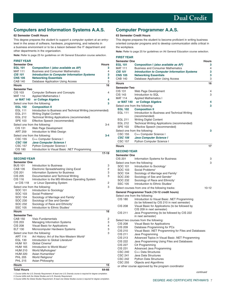# <span id="page-8-0"></span>**Computers and Information Systems A.A.S.**

#### **62 Semester Credit Hours**

This degree prepares the student to support a computer system at an entrylevel in the areas of software, hardware, programming, and networks in a business environment or to be a liaison between the IT department and

**Note:** Refer to page 25 for guidelines on IAI General Education course selection.

#### other departments in the organization. **FIRST YEAR Semester One Hours Hours EGL 101 Composition I (also available as AP) 3**  Business and Consumer Mathematics 44<br> **Introduction to Computer Information Systems** 3 **CIS 101** Introduction to Computer Information Systems **CNS 105 Networking Essentials 3**  CAB 140 Database Application Using Access 3 **Hours 16 Semester Two**  CIS 103 Computer Software and Concepts 4 MAT 114 Applied Mathematics I  **or MAT 140 or College Algebra 4**  Select one from the following: **3**<br> **3**<br> **3**<br> **3 Composition II** EGL 111 Introduction to Business and Technical Writing (recommended)<br>EGL 211 Writing Digital Content Writing Digital Content EGL 212 Technical Writing Applications (recommended)<br>SPE 103 Effective Speech (recommended) Effective Speech (recommended) Select one from the following:  $3-4$ CIS 131 Web Page Development<br>ART 259 Introduction to Web Desi Introduction to Web Design Select one from the following: **3-4**  CSC 155 C++ Computer Science I **CSC 156 Java Computer Science I**<br>CSC 157 Python Computer Science Python Computer Science I CIS 180 Introduction to Visual Basic .NET Programming **Hours 17-19 SECOND YEAR Semester One**  Introduction to Business 3

| Documentation and Technical Writing<br><b>CIS 205</b><br>Introduction to the MS-Windows Operating System<br>CIS 116 | 3<br>2 |
|---------------------------------------------------------------------------------------------------------------------|--------|
|                                                                                                                     |        |
| or CIS 118                                                                                                          |        |
| or Linux Operating System                                                                                           |        |
| Select one from the following:                                                                                      | 3      |
| SOC 101<br>Introduction to Sociology <sup>1</sup>                                                                   |        |
| SOC 103<br>Social Problems <sup>2</sup>                                                                             |        |
| <b>SOC 104</b><br>Sociology of Marriage and Family <sup>1</sup>                                                     |        |
| Sociology of Sex and Gender <sup>1</sup><br>SOC 230                                                                 |        |
| SOC 232<br>Sociology of Race and Ethnicity <sup>1</sup>                                                             |        |
| Introduction to Ethnic Studies <sup>1</sup><br><b>SSC 105</b>                                                       |        |
| <b>Hours</b>                                                                                                        | 16     |
| <b>Semester Two</b>                                                                                                 |        |
| CAB 150<br>Visio Fundamentals                                                                                       | 2      |
| <b>Managing Information Systems</b><br><b>CIS 203</b>                                                               | 3      |
| Visual Basic for Applications<br><b>CIS 208</b>                                                                     | 4      |
| <b>ELT 130</b><br>Microcomputer Hardware Systems                                                                    | 3      |
| Select one from the following:                                                                                      | 3      |
| Art History: Art of the Non-Western World <sup>3</sup><br><b>ART 114</b>                                            |        |
| Introduction to Global Literature <sup>3</sup><br>EGL 130                                                           |        |
| Global Cinema <sup>3</sup><br><b>HUM 161</b>                                                                        |        |
| Introduction to World Music <sup>3</sup><br><b>HUM 165</b>                                                          |        |
| <b>HUM 210</b><br>World Mythologies <sup>3</sup>                                                                    |        |
| Asian Humanities <sup>3</sup><br><b>HUM 220</b>                                                                     |        |
| <b>PHL 205</b><br>World Religions <sup>3</sup>                                                                      |        |
| <b>PHL 215</b><br>Asian Philosophy                                                                                  |        |
| <b>Hours</b>                                                                                                        | 15     |

### **Total Hours 64-66**

1 Course fulfills the U.S. Diversity Requirement. At least one U.S. Diversity course is required for degree completion.

2 Course fulfills both the Global Studies and U.S. Diversity Requirement.

3 Course fulfills the Global Studies Requirement. At least one Global Studies course is required for degree completion.

# **Computer Programmer A.A.S.**

#### **63 Semester Credit Hours**

This degree prepares the student to become proficient in writing business oriented computer programs and to develop communication skills critical in the workplace.

**Note:** Refer to page 25 for guidelines on IAI General Education course selection.

#### **FIRST YEAR**

| <b>Semester One</b> |                                                                  | <b>Hours</b> |
|---------------------|------------------------------------------------------------------|--------------|
| <b>EGL 101</b>      | Composition I (also available as AP)                             | 3            |
| <b>MAT 111</b>      | <b>Business and Consumer Mathematics</b>                         | 4            |
| <b>CIS 101</b>      | <b>Introduction to Computer Information Systems</b>              | 3            |
| <b>CNS 105</b>      | <b>Networking Essentials</b>                                     | 3            |
| <b>CAB 140</b>      | Database Application Using Access                                | 3            |
| Hours               |                                                                  | 16           |
| <b>Semester Two</b> |                                                                  |              |
| CIS 131             | Web Page Development                                             | 4            |
| CIS 143             | Introduction to SQL                                              | 3            |
| <b>MAT 114</b>      | <b>Applied Mathematics I</b>                                     |              |
| or MAT 140          | or College Algebra                                               | 4            |
|                     | Select one from the following:                                   | 3            |
| <b>EGL 102</b>      | <b>Composition II</b>                                            |              |
| <b>EGL 111</b>      | Introduction to Business and Technical Writing                   |              |
|                     | (recommended)                                                    |              |
| EGL 211             | <b>Writing Digital Content</b>                                   |              |
| <b>EGL 212</b>      | Technical Writing Applications (recommended)                     |              |
| <b>SPE 103</b>      | Effective Speech (recommended)                                   |              |
|                     | Select one from the following:                                   | 3            |
| <b>CSC 155</b>      | C++ Computer Science I                                           |              |
| <b>CSC 156</b>      | <b>Java Computer Science I</b>                                   |              |
| <b>CSC 157</b>      | Python Computer Science I                                        |              |
| <b>Hours</b>        |                                                                  | 17           |
| <b>SECOND YEAR</b>  |                                                                  |              |
| Semester One        |                                                                  |              |
| CIS 201             | <b>Information Systems for Business</b>                          | З            |
|                     | Select one from the following:                                   | З            |
| SOC 101             | Introduction to Sociology <sup>1</sup>                           |              |
| SOC 103             | Social Problems <sup>2</sup>                                     |              |
| SOC 104             | Sociology of Marriage and Family <sup>1</sup>                    |              |
| SOC 230             | Sociology of Sex and Gender <sup>1</sup>                         |              |
| SOC 232             | Sociology of Race and Ethnicity <sup>1</sup>                     |              |
| <b>SSC 105</b>      | Introduction to Ethnic Studies <sup>1</sup>                      |              |
|                     | Select courses from one of the following tracks:                 | $10 - 12$    |
|                     | General Programmer Track (10-12 credit hours)                    |              |
|                     | Select one from the following:                                   |              |
| <b>CIS 180</b>      | Introduction to Visual Basic .NET Programming                    |              |
|                     | (to be followed by CIS 210 in next semester)                     |              |
| CIS 208             | Visual Basic for Applications (to be followed by                 |              |
|                     | CIS 209 in next semester)                                        |              |
| CIS 211             | Java Programming (to be followed by CIS 222<br>in next semester) |              |
|                     | Select two courses from the following:                           |              |
| <b>CIS 208</b>      | Visual Basic for Applications                                    |              |
| <b>CIS 209</b>      | Database Programming for PCs                                     |              |
| CIS 210             | Visual Basic .NET Programming for Files and Databases            |              |
| CIS 211             | Java Programming                                                 |              |
| CIS 213             | Advanced Topics in Visual Basic .NET Programming                 |              |
| CIS 222             | Java Programming Using Files and Databases                       |              |
| <b>CIS 227</b>      | C# Programming                                                   |              |
| CIS 231             | Advanced Java Programming                                        |              |
| <b>CSC 240</b>      | C++ Data Structures                                              |              |
| <b>CSC 241</b>      | Java Data Structures                                             |              |
| <b>CSC 242</b>      | <b>Python Data Structures</b>                                    |              |
| CSC 255             | Objects and Algorithms                                           |              |
|                     | or other course approved by the program coordinator              |              |

continued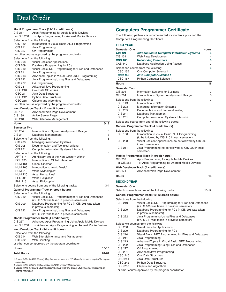**Mobil Programmer Track (11-12 credit hours)**  CIS 257 Apps Programming for Apple Mobile Devices or CIS 258 or Apps Programming for Android Mobile Devices Select one from the following: CIS 180 Introduction to Visual Basic .NET Programming CIS 211 Java Programming CIS 227 C# Programming or other course approved by the program coordinator Select one from the following: CIS 208 Visual Basic for Applications CIS 209 Database Programming for PCs CIS 210 Visual Basic .NET Programming for Files and Databases CIS 211 Java Programming CIS 213 Advanced Topics in Visual Basic .NET Programming CIS 222 Java Programming Using Files and Databases CIS 227 C# Programming CIS 231 Advanced Java Programming CSC 240 C++ Data Structures CSC 241 Java Data Structures CSC 242 Python Data Structures CSC 255 Objects and Algorithms or other course approved by the program coordinator **Web Developer Track (12 credit hours)**  CIS 171 Advanced Web Page Development CIS 188 Active Server Pages CIS 248 Web Database Management **Hours 16-18 Semester Two**  CIS 204 Introduction to System Analysis and Design 3 CIS 241 Database Management 3 Select one from the following: 3 CIS 203 Managing Information Systems CIS 205 Documentation and Technical Writing CIS 251 Computer Information Systems Internship Select one from the following: 3 ART 114 Art History: Art of the Non-Western World<sup>3</sup> EGL 130 Introduction to Global Literature<sup>3</sup> HUM 161 Global Cinema<sup>3</sup> HUM 165 Introduction to World Music<sup>3</sup> HUM 210 World Mythologies<sup>3</sup> HUM 220 Asian Humanities<sup>3</sup> PHL 205 World Religions<sup>3</sup> PHL 215 Asian Philosophy<sup>3</sup> Select one course from one of the following tracks: 3-4 **General Programmer Track (4 credit hours)**  Select one from the following: CIS 210 Visual Basic .NET Programming for Files and Databases (if CIS 180 was taken in previous semester) CIS 209 Database Programming for PCs (if CIS 208 was taken in previous semester) CIS 222 Java Programming Using Files and Databases (if CIS 211 was taken in previous semester) **Mobile Programmer Track (4 credit hours)**  CIS 267 Advanced Apps Programming Using Apple Mobile Devices or CIS 268 or Advanced Apps Programming for Android Mobile Devices **Web Developer Track (3-4 credit hours)**  Select one from the following: CIS 214 Web Site Maintenance and Management CIS 232 Web Scripting or other course approved by the program coordinator **Hours 15-16 Total Hours 64-67**  1 Course fulfills the U.S. Diversity Requirement. At least one U.S. Diversity course is required for degree

completion.

2 Course fulfills both the Global Studies and U.S. Diversity Requirement.

3 Course fulfills the Global Studies Requirement. At least one Global Studies course is required for degree completion.

# **Computers Programmer Certificate**

The following pathway is recommended for students pursuing the Computers Programming Certificate.

#### **FIRST YEAR**

| <b>Semester One</b><br><b>CIS 101</b> | <b>Introduction to Computer Information Systems</b>                           | <b>Hours</b><br>3. |
|---------------------------------------|-------------------------------------------------------------------------------|--------------------|
| <b>CIS 131</b>                        | Web Page Development                                                          | 4                  |
| <b>CNS 105</b>                        | <b>Networking Essentials</b>                                                  | 3                  |
| <b>CAB 140</b>                        | Database Application Using Access                                             | 3                  |
|                                       | Select one course from the following:                                         | 3                  |
| CSC 155                               | C++ Computer Science I                                                        |                    |
| <b>CSC 156</b>                        | Java Computer Science I                                                       |                    |
| <b>CSC 157</b>                        | <b>Python Computer Science I</b>                                              |                    |
| <b>Hours</b>                          |                                                                               | 16                 |
|                                       |                                                                               |                    |
| <b>Semester Two</b>                   |                                                                               |                    |
| CIS 201                               | Information Systems for Business                                              | З                  |
| <b>CIS 204</b>                        | Introduction to System Analysis and Design                                    | З                  |
| Select one from the following:        |                                                                               | 3                  |
| <b>CIS 143</b>                        | Introduction to SQL                                                           |                    |
| <b>CIS 203</b>                        | Managing Information Systems                                                  |                    |
| CIS 205<br>CIS 241                    | Documentation and Technical Writing                                           |                    |
| CIS 251                               | Database Management                                                           |                    |
|                                       | Computer Information Systems Internship                                       |                    |
|                                       | Select one course from one of the following tracks:                           | 4                  |
|                                       | General Programmer Track (4 credit hours)                                     |                    |
| Select one from the following:        |                                                                               |                    |
| <b>CIS 180</b>                        | Introduction to Visual Basic .NET Programming                                 |                    |
|                                       | (to be followed by CIS 210 in next semester)                                  |                    |
| CIS 208                               | Visual Basic for Applications (to be followed by CIS 209<br>in next semester) |                    |
| CIS 211                               | Java Programming (to be followed by CIS 222 in next                           |                    |
|                                       | semester)                                                                     |                    |
|                                       | Mobile Programmer Track (4 credit hours)                                      |                    |
| <b>CIS 257</b>                        | Apps Programming for Apple Mobile Devices                                     |                    |
| or CIS 258                            | or Apps Programming for Android Mobile Devices                                |                    |
|                                       | Web Developer Track (4 credit hours)                                          |                    |
| <b>CIS 171</b>                        | Advanced Web Page Development                                                 |                    |
| <b>Hours</b>                          |                                                                               | 13                 |
| <b>SECOND YEAR</b>                    |                                                                               |                    |
| <b>Semester One</b>                   |                                                                               |                    |
|                                       | Select courses from one of the following tracks:                              | $10 - 12$          |
|                                       | General Programmer Track (10-12 credit hours)                                 |                    |
| Select one from the following:        |                                                                               |                    |
| CIS 210                               | Visual Basic .NET Programming for Files and Databases                         |                    |
|                                       | (if CIS 180 was taken in previous semester)                                   |                    |
| <b>CIS 209</b>                        | Database Programming for PCs (if CIS 208 was taken                            |                    |
|                                       | in previous semester)                                                         |                    |
| <b>CIS 222</b>                        | Java Programming Using Files and Databases                                    |                    |
|                                       | (if CIS 211 was taken in previous semester)                                   |                    |
|                                       | Select two courses from the following:                                        |                    |
| CIS 208                               | Visual Basic for Applications                                                 |                    |
| CIS 209                               | Database Programming for PCs                                                  |                    |
| CIS 210                               | Visual Basic .NET Programming for Files and Databases                         |                    |
| CIS 211                               | Java Programming                                                              |                    |
| CIS 213                               | Advanced Topics in Visual Basic .NET Programming                              |                    |
| <b>CIS 222</b>                        | Java Programming Using Files and Databases                                    |                    |
| CIS 227                               | C# Programming                                                                |                    |
| CIS 231                               | Advanced Java Programming                                                     |                    |
| CSC 240<br>CSC 241                    | C++ Data Structures<br>Java Data Structures                                   |                    |
| <b>CSC 242</b>                        | <b>Python Data Structures</b>                                                 |                    |
| <b>CSC 255</b>                        | Objects and Algorithms                                                        |                    |
|                                       | or other course approved by the program coordinator                           |                    |
|                                       |                                                                               |                    |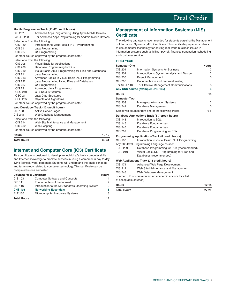**Mobile Programmer Track (11-12 credit hours)**  CIS 267 Advanced Apps Programming Using Apple Mobile Devices or CIS 268 or Advanced Apps Programming for Android Mobile Devices Select one from the following: CIS 180 Introduction to Visual Basic .NET Programming CIS 211 Java Programming CIS 227 C# Programming or other course approved by the program coordinator Select one from the following: CIS 208 Visual Basic for Applications CIS 209 Database Programming for PCs CIS 210 Visual Basic .NET Programming for Files and Databases CIS 211 Java Programming CIS 213 Advanced Topics in Visual Basic .NET Programming CIS 222 Java Programming Using Files and Databases<br>CIS 227 C# Programming C# Programming CIS 231 Advanced Java Programming CSC 240 C++ Data Structures CSC 241 Java Data Structures CSC 255 Objects and Algorithms or other course approved by the program coordinator **Web Developer Track (12 credit hours)**  CIS 188 Active Server Pages CIS 248 Web Database Management Select one from the following: CIS 214 Web Site Maintenance and Management CIS 232 Web Scripting or other course approved by the program coordinator **Hours 10-12 Total Hours 39-41** 

# **Internet and Computer Core (IC3) Certificate**

This certificate is designed to develop an individual's basic computer skills and Internet knowledge to promote success in using a computer in day to-day living (school, work, personal). Students will understand the basic concepts and terminology related to computer technology. This certificate can be completed in one semester.

| <b>Courses for a Certificate</b> |                                                 | <b>Hours</b> |
|----------------------------------|-------------------------------------------------|--------------|
| <b>CIS 103</b>                   | <b>Computer Software and Concepts</b>           | 4            |
| <b>CIS 111</b>                   | Fundamentals of the Internet                    | 2            |
| <b>CIS 116</b>                   | Introduction to the MS-Windows Operating System | 2            |
| <b>CNS 105</b>                   | <b>Networking Essentials</b>                    | 3            |
| ELT 130                          | Microcomputer Hardware Systems                  | 3            |
| <b>Total Hours</b>               |                                                 | 14           |

# **Management of Information Systems (MIS) Certificate**

The following pathway is recommended for students pursuing the Management of Information Systems (MIS) Certificate. This certificate prepares students to use computer technology for solving real-world business issues in information systems such as billing, payroll, financial transaction, scheduling, and customer service.

#### **FIRST YEAR**

| <b>Semester One</b>    |                                                             | Hours     |
|------------------------|-------------------------------------------------------------|-----------|
| CIS 201                | Information Systems for Business                            | 3         |
| <b>CIS 204</b>         | Introduction to System Analysis and Design                  | 3         |
| <b>CIS 236</b>         | <b>Project Management</b>                                   | 3         |
| <b>CIS 205</b>         | Documentation and Technical Writing                         |           |
| or MGT 118             | or Effective Management Communications                      | 3         |
|                        | Any CNS course (example: CNS 105)                           | 3         |
| <b>Hours</b>           |                                                             | 15        |
| <b>Semester Two</b>    |                                                             |           |
| CIS 203                | <b>Managing Information Systems</b>                         | 3         |
| CIS 241                | Database Management                                         | 3         |
|                        | Select two courses from one of the following tracks:        | $6 - 8$   |
|                        | Database Applications Track (6-7 credit hours)              |           |
| CIS 143                | Introduction to SQL                                         |           |
| CIS 145                | Database Fundamentals I                                     |           |
| CIS 245                | Database Fundamentals II                                    |           |
| CIS 209                | Database Programming for PCs                                |           |
|                        | <b>Programming Applications Track (8 credit hours)</b>      |           |
| CIS 180                | Introduction to Visual Basic .NET Programming               |           |
|                        | Any 200-level Programming Language course:                  |           |
| CIS 209                | Database Programming for PCs (recommended)                  |           |
| <b>CIS 210</b>         | Visual Basic .NET Programming for Files and                 |           |
|                        | Databases (recommended)                                     |           |
|                        | Web Applications Track (7-8 credit hours)                   |           |
| <b>CIS 171</b>         | Advanced Web Page Development                               |           |
| CIS 214                | Web Site Maintenance and Management                         |           |
| CIS 248                | Web Database Management                                     |           |
|                        | or other CIS course (contact an academic advisor for a list |           |
| of acceptable courses) |                                                             |           |
| <b>Hours</b>           |                                                             | $12 - 14$ |
| <b>Total Hours</b>     |                                                             | 27-29     |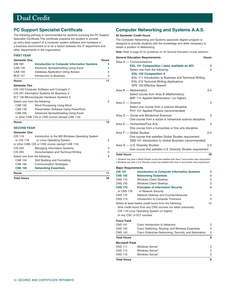# <span id="page-11-0"></span>**PC Support Specialist Certificate**

The following pathway is recommended for students pursuing the PC Support Specialist Certificate.This certificate prepares the student to provide an entry-level support of a computer system software and hardware in a business environment or to be a liaison between the IT department and other departments in the organization.

#### **FIRST YEAR**

| <b>Semester One</b>            |                                                     | <b>Hours</b> |
|--------------------------------|-----------------------------------------------------|--------------|
| <b>CIS 101</b>                 | <b>Introduction to Computer Information Systems</b> | 3            |
| <b>CAB 135</b>                 | <b>Electronic Spreadsheeting Using Excel</b>        | 2            |
| <b>CAB 140</b>                 | Database Application Using Access                   | 3            |
| <b>BUS 101</b>                 | Introduction to Business                            | 3            |
| <b>Hours</b>                   |                                                     | 11           |
| <b>Semester Two</b>            |                                                     |              |
|                                | CIS 103 Computer Software and Concepts 4            |              |
|                                | CIS 201 Information Systems for Business 3          |              |
|                                | ELT 130 Microcomputer Hardware Systems 3            |              |
| Select one from the following: |                                                     | 2            |
| CAB 125                        | Word Processing Using Word                          |              |
| <b>CAB 130</b>                 | Presentation Software Using PowerPoint              |              |
| CAB 235                        | Advanced Spreadsheeting Using Excel                 |              |
|                                | or other CAB, CIS or CNS course (except CAB 110)    |              |
| <b>Hours</b>                   |                                                     | 12           |
| <b>SECOND YEAR</b>             |                                                     |              |
| <b>Semester One</b>            |                                                     |              |
| CIS 116                        | Introduction to the MS-Windows Operating System     |              |
| or CIS 118                     | or Linux Operating System                           | 2            |
|                                | or other CAB, CIS or CNS course (except CAB 110)    |              |
| CIS 203                        | <b>Managing Information Systems</b>                 | 3            |
| <b>CIS 205</b>                 | Documentation and Technical Writing                 | 3            |
| Select one from the following: |                                                     | 3            |
| <b>CAB 104</b>                 | Skill Building and Formatting                       |              |
| <b>CAB 184</b>                 | <b>Communication Strategies</b>                     |              |
| <b>CNS 105</b>                 | <b>Networking Essentials</b>                        |              |
| <b>Hours</b>                   |                                                     | 11           |
| <b>Total Hours</b>             |                                                     | 34           |

# **Computer Networking and Systems A.A.S.**

#### **60 Semester Credit Hours**

The Computer Networking and Systems associate degree program is designed to provide students with the knowledge and skills necessary to obtain a position in Networking.

**Note:** Refer to page 25 for guidelines on IAI General Education course selection.

| <b>General Education Requirements:</b>                       | <b>Hours</b> |
|--------------------------------------------------------------|--------------|
| Area $A -$ Communications                                    |              |
| EGL 101 Composition I (also available as AP)                 | з            |
| Select one from the following:                               | 3            |
| <b>EGL 102 Composition II</b>                                |              |
| EGL 111 Introduction to Business and Technical Writing       |              |
| EGL 212 Technical Writing Applications                       |              |
| SPE 103 Effective Speech                                     |              |
| Area B - Mathematics                                         | $3 - 4$      |
| Select course from Area B (Mathematics)                      |              |
| MAT 114 Applied Mathematics I (or higher)                    |              |
| Area C - Science                                             | 3            |
| Select one course from a science discipline                  |              |
| PHY 101 Applied Physics (recommended)                        |              |
| Area D - Social and Behavioral Sciences                      | 3            |
| One course from a social or behavioral science discipline    |              |
| Area E - Humanities/Fine Arts                                | 3            |
| One course from a humanities or fine arts discipline         |              |
| Area F - Global Studies <sup>1</sup>                         | $0 - 3$      |
| One course that satisfies Global Studies requirement         |              |
| GBS 101 Introduction to Global Business (recommended)        |              |
| Area G $-$ U.S. Diversity Studies <sup>2</sup>               | $0 - 3$      |
| One course that satisfies U.S. Diversity Studies requirement |              |
| <b>Total Hours</b>                                           | 18           |

1 Students may take a Global Studies course that satisfies both Area F and another Area requirement. 2 Students may take a U.S. Diversity course that satisfies both Area G and another Area requirement.

#### **Major Requirements**

| <b>CIS 101</b>            | <b>Introduction to Computer Information Systems</b>         | 3  |
|---------------------------|-------------------------------------------------------------|----|
| <b>CNS 105</b>            | <b>Networking Essentials</b>                                | 3  |
| <b>CNS 110</b>            | Windows Client Desktop <sup>1</sup>                         | 3  |
| CNS 150                   | Windows Client Desktop <sup>2</sup>                         | 3  |
| <b>CNS 170</b>            | <b>Principles of Information Security</b>                   | 3  |
| or CNS 176                | or Network Security                                         |    |
| CNS 172                   | Network Defense and Countermeasures                         | 3  |
| CNS 174                   | Introduction to Computer Forensics                          | 3  |
|                           | Select at least twelve credit hours from the following:     | 12 |
|                           | Nine credit hours from any CNS courses not taken previously |    |
|                           | CIS 118 Linux Operating System (or higher)                  |    |
| or any CSC or ELT courses |                                                             |    |
| Cisco Track               |                                                             |    |
| CNS 141                   | Cisco Introduction to Networks                              | 3  |
| CNS 142                   | Cisco Switching, Routing, and Wireless Essentials           | 3  |
| CNS 143                   | Cisco Enterprise Networking, Security, and Automation       | 3  |
| <b>Total Hours</b>        |                                                             | 9  |
| <b>Microsoft Track</b>    |                                                             |    |
| CNS 111                   | Windows Server <sup>1</sup>                                 | 3  |
| CNS 114                   | Windows Server <sup>2</sup>                                 | 3  |
| CNS 116                   | Windows Server <sup>3</sup>                                 | 3  |
|                           |                                                             |    |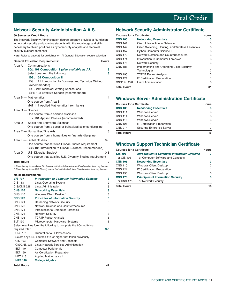# **Network Security Administration A.A.S.**

#### **60 Semester Credit Hours**

The Network Security Administration degree program provides a foundation in network security and provides students with the knowledge and skills necessary to obtain positions as cybersecurity analysts and technical security support personnel.

**Note:** Refer to page 25 for guidelines on IAI General Education course selection.

| <b>General Education Requirements:</b>                                                                        | <b>Hours</b> |
|---------------------------------------------------------------------------------------------------------------|--------------|
| Area $A -$ Communications                                                                                     |              |
| EGL 101 Composition I (also available as AP)                                                                  | 3            |
| Select one from the following:                                                                                | 3            |
| <b>EGL 102 Composition II</b>                                                                                 |              |
| EGL 111 Introduction to Business and Technical Writing<br>(recommended)                                       |              |
| <b>EGL 212 Technical Writing Applications</b>                                                                 |              |
| SPE 103 Effective Speech (recommended)                                                                        |              |
| Area $B - M$ athematics                                                                                       | 4            |
| One course from Area B                                                                                        |              |
| MAT 114 Applied Mathematics I (or higher)                                                                     |              |
| Area C - Science                                                                                              | 3            |
| One course from a science discipline                                                                          |              |
| PHY 101 Applied Physics (recommended)                                                                         |              |
| Area D - Social and Behavioral Sciences                                                                       | 3            |
| One course from a social or behavioral science discipline                                                     |              |
| Area E - Humanities/Fine Arts                                                                                 | 3            |
| One course from a humanities or fine arts discipline                                                          |              |
| Area F - Global Studies <sup>1</sup>                                                                          | $0 - 3$      |
| One course that satisfies Global Studies requirement<br>GBS 101 Introduction to Global Business (recommended) |              |
| Area G - U.S. Diversity Studies <sup>2</sup>                                                                  | $0 - 3$      |
| One course that satisfies U.S. Diversity Studies requirement                                                  |              |

#### **Total Hours** 19

1 Students may take a Global Studies course that satisfies both Area F and another Area requirement. 2 Students may take a U.S. Diversity course that satisfies both Area G and another Area requirement.

#### **Major Requirements**

| <b>Total Hours</b> |                                                                    | 41      |
|--------------------|--------------------------------------------------------------------|---------|
| <b>MAT 140</b>     | <b>College Algebra</b>                                             |         |
| MAT 116            | <b>Applied Mathematics II</b>                                      |         |
| <b>ELT 150</b>     | A+ Certification Preparation                                       |         |
| <b>ELT 140</b>     | Computer Peripherals                                               |         |
| <b>CIS/CNS 238</b> | Linux Network Services Administration                              |         |
| <b>CIS 103</b>     | <b>Computer Software and Concepts</b>                              |         |
|                    | Select any CNS courses 111 or higher not taken previously          |         |
| <b>CNS 101</b>     | Orientation to IT Professions                                      |         |
| required total:    |                                                                    | $3 - 6$ |
|                    | Select electives form the following to complete the 60-credit-hour |         |
| <b>ELT 130</b>     | Microcomputer Hardware Systems                                     | 3       |
| <b>CNS 195</b>     | <b>TCP/IP Packet Analysis</b>                                      | 3       |
| <b>CNS 176</b>     | <b>Network Security</b>                                            | 3       |
| <b>CNS 174</b>     | Introduction to Computer Forensics                                 | 3       |
| <b>CNS 172</b>     | Network Defense and Countermeasures                                | 3       |
| <b>CNS 171</b>     | <b>Hardening Network Security</b>                                  | 3       |
| <b>CNS 170</b>     | <b>Principles of Information Security</b>                          | 3       |
| <b>CNS 110</b>     | Windows Client Desktop <sup>1</sup>                                | 3       |
| <b>CNS 105</b>     | <b>Networking Essentials</b>                                       | 3       |
| CIS/CNS 228        | Linux Administration                                               | 3       |
| <b>CIS 118</b>     | <b>Linux Operating System</b>                                      | 2       |
| <b>CIS 101</b>     | <b>Introduction to Computer Information Systems</b>                | 3       |
| major noquiromonto |                                                                    |         |

## **Network Security Administrator Certificate**

| <b>Courses for a Certificate</b> |                                                   | Hours |
|----------------------------------|---------------------------------------------------|-------|
| <b>CNS 105</b>                   | <b>Networking Essentials</b>                      | 3     |
| <b>CNS 141</b>                   | Cisco Introduction to Networks                    | З     |
| <b>CNS 142</b>                   | Cisco Switching, Routing, and Wireless Essentials | З     |
| CSC 157                          | <b>Python Computer Science I</b>                  | З     |
| <b>CNS 172</b>                   | Network Defense and Countermeasures               | 3     |
| <b>CNS 174</b>                   | Introduction to Computer Forensics                | З     |
| <b>CNS 176</b>                   | <b>Network Security</b>                           | 3     |
| <b>CNS 181</b>                   | Implementing and Operating Cisco Security         |       |
|                                  | Technologies                                      | З     |
| <b>CNS 195</b>                   | <b>TCP/IP Packet Analysis</b>                     | 3     |
| <b>CNS 121</b>                   | <b>IT Certification Preparation</b>               |       |
| CNS/CIS 228                      | Linux Administration                              | З     |
| <b>Total Hours</b>               |                                                   | 31    |

### **Windows Server Administration Certificate**

| <b>Courses for a Certificate</b> |                                     | <b>Hours</b> |
|----------------------------------|-------------------------------------|--------------|
| <b>CNS 105</b>                   | <b>Networking Essentials</b>        |              |
| <b>CNS 111</b>                   | Windows Server <sup>1</sup>         | 3            |
| <b>CNS 114</b>                   | Windows Server <sup>2</sup>         | 3            |
| <b>CNS 116</b>                   | Windows Server <sup>3</sup>         | 3            |
| <b>CNS 121</b>                   | <b>IT Certification Preparation</b> |              |
| <b>CNS 214</b>                   | Securing Enterprise Server          | З            |
| <b>Total Hours</b>               |                                     | 16           |

# **Windows Support Technician Certificate**

| <b>Courses for a Certificate</b> |                                                     | <b>Hours</b> |
|----------------------------------|-----------------------------------------------------|--------------|
| <b>CIS 101</b>                   | <b>Introduction to Computer Information Systems</b> | 3            |
| or CIS 103                       | or Computer Software and Concepts                   |              |
| <b>CNS 105</b>                   | <b>Networking Essentials</b>                        | 3            |
| <b>CNS 110</b>                   | Windows Client Desktop <sup>1</sup>                 | 3            |
| <b>CNS 121</b>                   | <b>IT Certification Preparation</b>                 | 1            |
| <b>CNS 150</b>                   | Windows Client Desktop <sup>2</sup>                 | 3            |
| <b>CNS 170</b>                   | <b>Principles of Information Security</b>           | 3            |
| or CNS 176                       | or Network Security                                 |              |

**Total Hours** 16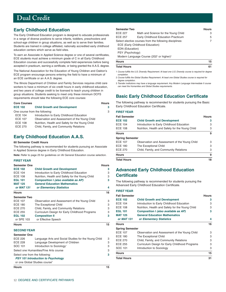# <span id="page-13-0"></span>**Early Childhood Education**

The Early Childhood Education program is designed to educate professionals in a range of diverse positions to serve infants, toddlers, preschoolers and school-age children in group situations, as well as to serve their families. Students are trained in college affiliated, nationally accredited early childhood education centers which serve as field sites.

To earn an Associate in Applied Science degree or one of several certificates, ECE students must achieve a minimum grade of C in all Early Childhood Education courses and successfully complete field experiences before being accepted in practicum, earning a certificate, or being granted the A.A.S. degree.

The National Association for the Education of Young Children and Oakton's ECE program encourage persons entering the field to have a minimum of an ECE certificate or an A.A.S. degree.

The Illinois Department of Children and Family Services requires child care workers to have a minimum of six credit hours in early childhood education, and two years of college credit to be licensed to teach young children in group situations. Students seeking to meet only these minimum DCFS requirements should take the following ECE core courses:

| <b>Core Courses</b>            |                                                  | <b>Hours</b> |
|--------------------------------|--------------------------------------------------|--------------|
| <b>ECE 102</b>                 | <b>Child Growth and Development</b>              | 3.           |
| One course from the following: |                                                  | 3            |
| <b>ECE 104</b>                 | Introduction to Early Childhood Education        |              |
| <b>ECE 107</b>                 | Observation and Assessment of the Young Child    |              |
| <b>ECE 108</b>                 | Nutrition, Health and Safety for the Young Child |              |
| <b>ECE 270</b>                 | Child, Family, and Community Relations           |              |

# **Early Childhood Education A.A.S.**

#### **60 Semester Credit Hours**

The following pathway is recommended for students pursuing an Associate in Applied Science degree in Early Childhood Education.

**Note:** Refer to page 25 for guidelines on IAI General Education course selection.

#### **FIRST YEAR**

| <b>Semester One</b>            |                                                      | <b>Hours</b> |
|--------------------------------|------------------------------------------------------|--------------|
| <b>ECE 102</b>                 | <b>Child Growth and Development</b>                  | 3            |
| <b>ECE 104</b>                 | Introduction to Early Childhood Education            | 3            |
| <b>ECE 108</b>                 | Nutrition, Health and Safety for the Young Child     | 3            |
| <b>EGL 101</b>                 | Composition I (also available as AP)                 | 3            |
| <b>MAT 125</b>                 | <b>General Education Mathematics</b>                 |              |
| or MAT 131                     | or Elementary Statistics                             | 4            |
| <b>Hours</b>                   |                                                      | 16           |
| <b>Semester Two</b>            |                                                      |              |
| <b>ECE 107</b>                 | Observation and Assessment of the Young Child        | 3            |
| <b>ECE 180</b>                 | The Exceptional Child                                | 3            |
| <b>ECE 270</b>                 | Child, Family, and Community Relations               | 3            |
| <b>ECE 255</b>                 | Curriculum Design for Early Childhood Programs       | 3            |
| <b>EGL 102</b>                 | <b>Composition II</b>                                | 3            |
| or SPE 103                     | or Effective Speech                                  |              |
| <b>Hours</b>                   |                                                      | 15           |
| <b>SECOND YEAR</b>             |                                                      |              |
| <b>Semester One</b>            |                                                      |              |
| <b>ECE 226</b>                 | Language Arts and Social Studies for the Young Child | 3            |
| <b>ECE 228</b>                 | Language Development of Children                     | 3            |
| SOC 101                        | Introduction to Sociology <sup>1</sup>               | 3            |
|                                | Select one Humanities/Fine Arts course               |              |
| Select one from the following: |                                                      | 3            |
|                                | <b>PSY 101 Introduction to Psychology</b>            |              |

or one Global Studies course?

|                                                                  | <b>Hours</b> |
|------------------------------------------------------------------|--------------|
| Math and Science for the Young Child                             | З            |
| Early Childhood Education Practicum                              | 5            |
| Select elective courses from the following disciplines:          | 7            |
| ECE (Early Childhood Education)                                  |              |
| EDN (Education)                                                  |              |
| PSY (Psychology)                                                 |              |
| Modern Language Course (202 <sup>2</sup> or higher) <sup>3</sup> |              |
|                                                                  | 15           |
|                                                                  |              |

| <b>Total Hours</b> |  |
|--------------------|--|
|                    |  |

1 Course fulfills the U.S. Diversity Requirement. At least one U.S. Diversity course is required for degree completion.

2 Course fulfills the Global Studies Requirement. At least one Global Studies course is required for degree completion.

3 Transfer institutions may have a language requirement. Any Modern Language Intermediate II course can meet the Humanities and Global Studies requirements.

# **Basic Early Childhood Education Certificate**

The following pathway is recommended for students pursuing the Basic Early Childhood Education Certificate.

#### **FIRST YEAR**

| <b>Fall Semester</b>   |                                                  | <b>Hours</b> |
|------------------------|--------------------------------------------------|--------------|
| <b>ECE 102</b>         | <b>Child Growth and Development</b>              | з            |
| ECE 104                | Introduction to Early Childhood Education        | З            |
| ECE 108                | Nutrition, Health and Safety for the Young Child | З            |
| Hours                  |                                                  | 9            |
| <b>Spring Semester</b> |                                                  |              |
| ECE 107                | Observation and Assessment of the Young Child    | З            |
| ECE 180                | The Exceptional Child                            | З            |
| ECE 270                | Child, Family, and Community Relations           | З            |
| <b>Hours</b>           |                                                  | 9            |
| Total Hours            |                                                  | 18           |

## **Advanced Early Childhood Education Certificate**

The following pathway is recommended for students pursuing the Advanced Early Childhood Education Certificate.

#### **FIRST YEAR**

| <b>Fall Semester</b>   |                                                  | <b>Hours</b> |
|------------------------|--------------------------------------------------|--------------|
| <b>ECE 102</b>         | <b>Child Growth and Development</b>              | 3            |
| ECE 104                | Introduction to Early Childhood Education        | 3            |
| ECE 108                | Nutrition, Health and Safety for the Young Child | 3            |
| <b>EGL 101</b>         | Composition I (also available as AP)             | 3            |
| <b>MAT 125</b>         | <b>General Education Mathematics</b>             |              |
| or MAT 131             | or Elementary Statistics                         | 4            |
| Hours                  |                                                  | 16           |
| <b>Spring Semester</b> |                                                  |              |
| ECE 107                | Observation and Assessment of the Young Child    | 3            |
| ECE 180                | The Exceptional Child                            | 3            |
| ECE 270                | Child, Family, and Community Relations           | 3            |
| <b>ECE 255</b>         | Curriculum Design for Early Childhood Programs   | 3            |
| SOC 101                | Introduction to Sociology                        | 3            |
| Hours                  |                                                  | 15           |
| Total Hours            |                                                  | 31           |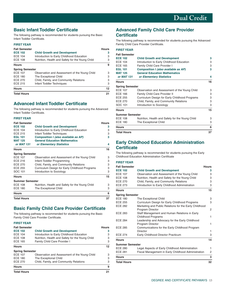# **Basic Infant Toddler Certificate**

The following pathway is recommended for students pursuing the Basic Infant Toddler Certificate.

#### **FIRST YEAR**

| <b>Fall Semester</b><br><b>ECE 102</b><br><b>ECE 104</b> | <b>Child Growth and Development</b><br>Introduction to Early Childhood Education | <b>Hours</b><br>3 |
|----------------------------------------------------------|----------------------------------------------------------------------------------|-------------------|
| <b>ECE 108</b><br><b>Hours</b>                           | Nutrition, Health and Safety for the Young Child                                 | З<br>9            |
| <b>Spring Semester</b>                                   |                                                                                  |                   |
| <b>ECE 107</b>                                           | Observation and Assessment of the Young Child                                    | з                 |
| <b>ECE 180</b>                                           | The Exceptional Child                                                            | З                 |
| <b>ECE 270</b>                                           | Child, Family, and Community Relations                                           | З                 |
| <b>ECE 215</b>                                           | Infant Toddler Techniques                                                        | З                 |
| <b>Hours</b>                                             |                                                                                  | 12                |
| <b>Total Hours</b>                                       |                                                                                  | 21                |

### **Advanced Infant Toddler Certificate**

The following pathway is recommended for students pursuing the Advanced Infant Toddler Certificate.

#### **FIRST YEAR**

| <b>Fall Semester</b>   |                                                  | <b>Hours</b> |
|------------------------|--------------------------------------------------|--------------|
| <b>ECE 102</b>         | <b>Child Growth and Development</b>              | з            |
| <b>ECE 104</b>         | Introduction to Early Childhood Education        | 3            |
| <b>ECE 215</b>         | Infant Toddler Techniques                        | 3            |
| <b>EGL 101</b>         | Composition I (also available as AP)             | 3            |
| <b>MAT 125</b>         | <b>General Education Mathematics</b>             |              |
| or MAT 131             | or Elementary Statistics                         | 4            |
| <b>Hours</b>           |                                                  | 16           |
| <b>Spring Semester</b> |                                                  |              |
| <b>ECE 107</b>         | Observation and Assessment of the Young Child    | 3            |
| ECE 216                | Infant-Toddler Programming                       | З            |
| <b>ECE 270</b>         | Child, Family, and Community Relations           | 3            |
| <b>ECE 255</b>         | Curriculum Design for Early Childhood Programs   | 3            |
| SOC 101                | Introduction to Sociology                        | 3            |
| <b>Hours</b>           |                                                  | 15           |
| <b>Summer Semester</b> |                                                  |              |
| <b>ECE 108</b>         | Nutrition, Health and Safety for the Young Child | З            |
| <b>ECE 180</b>         | The Exceptional Child                            | 3            |
| <b>Hours</b>           |                                                  | 6            |
| <b>Total Hours</b>     |                                                  | 37           |

# **Basic Family Child Care Provider Certificate**

The following pathway is recommended for students pursuing the Basic Family Child Care Provider Certificate.

#### **FIRST YEAR**

| <b>Total Hours</b>     |                                                  | 21           |
|------------------------|--------------------------------------------------|--------------|
| <b>Hours</b>           |                                                  | 9            |
| <b>ECE 270</b>         | Child, Family, and Community Relations           | 3            |
| <b>ECE 180</b>         | The Exceptional Child                            | 3            |
| <b>ECE 107</b>         | Observation and Assessment of the Young Child    | 3            |
| <b>Spring Semester</b> |                                                  |              |
| <b>Hours</b>           |                                                  | 12           |
| <b>ECE 165</b>         | Family Child Care Provider I                     | 3            |
| <b>ECE 108</b>         | Nutrition, Health and Safety for the Young Child | 3            |
| <b>ECE 104</b>         | Introduction to Early Childhood Education        | 3            |
| <b>ECE 102</b>         | <b>Child Growth and Development</b>              | з            |
| <b>Fall Semester</b>   |                                                  | <b>Hours</b> |

## **Advanced Family Child Care Provider Certificate**

The following pathway is recommended for students pursuing the Advanced Family Child Care Provider Certificate.

#### **FIRST YEAR**

| <b>Fall Semester</b>   |                                                  |    |
|------------------------|--------------------------------------------------|----|
| <b>ECE 102</b>         | <b>Child Growth and Development</b>              | 3  |
| <b>ECE 104</b>         | Introduction to Early Childhood Education        | 3  |
| <b>ECE 165</b>         | Family Child Care Provider I                     | 3  |
| <b>EGL 101</b>         | Composition I (also available as AP)             | 3  |
| <b>MAT 125</b>         | <b>General Education Mathematics</b>             |    |
| or MAT 131             | or Elementary Statistics                         | 4  |
| <b>Hours</b>           |                                                  | 16 |
| <b>Spring Semester</b> |                                                  |    |
| <b>ECE 107</b>         | Observation and Assessment of the Young Child    | 3  |
| <b>ECE 166</b>         | Family Child Care Provider II                    | 3  |
| <b>ECE 255</b>         | Curriculum Design for Early Childhood Programs   | 3  |
| <b>ECE 270</b>         | Child, Family, and Community Relations           | 3  |
| SOC 101                | Introduction to Sociology                        | 3  |
| <b>Hours</b>           |                                                  | 15 |
| <b>Summer Semester</b> |                                                  |    |
| <b>ECE 108</b>         | Nutrition, Health and Safety for the Young Child | 3  |
| <b>ECE 180</b>         | The Exceptional Child                            | 3  |
| <b>Hours</b>           |                                                  | 6  |
| <b>Total Hours</b>     |                                                  | 37 |

# **Early Childhood Education Administration Certificate**

The following pathway is recommended for students pursuing the Early Childhood Education Administration Certificate

#### **FIRST YEAR Fall Semester Hours ECE 102 Child Growth and Development 3**  ECE 107 Observation and Assessment of the Young Child 3 ECE 108 Nutrition, Health and Safety for the Young Child 3 ECE 270 Child, Family, and Community Relations 3<br>
ECE 273 Introduction to Early Childhood Administration 3 Introduction to Early Childhood Administration 3 **Hours 15 Spring Semester**  ECE 180 The Exceptional Child 3 ECE 255 Curriculum Design for Early Childhood Programs 3 ECE 282 Marketing and Public Relations for the Early Childhood Program Director 2 ECE 283 Staff Management and Human Relations in Early Childhood Programs 1 ECE 284 Leadership and Advocacy for the Early Childhood Program Director 1 ECE 285 Communications for the Early Childhood Program Director 1 ECE 274 Early Childhood Director Practicum 3 **Hours 14 Summer Semester**  ECE 280 Legal Aspects of Early Childhood Administration 1 ECE 281 Fiscal Management in Early Childhood Administration 2 **Hours 3 Total Hours 32**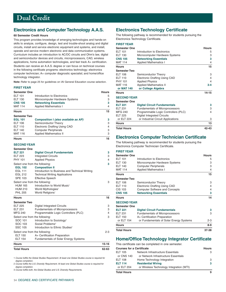# <span id="page-15-0"></span>**Electronics and Computer Technology A.A.S.**

#### **60 Semester Credit Hours**

This program provides knowledge of emerging technologies and hands-on skills to analyze, configure, design, test and trouble-shoot analog and digital circuits, install and service electronic equipment and systems, and install, operate and service modern electronic and data communication systems. Curriculum includes an introduction to AC/DC circuits and Ohm's law, digital and semiconductor devices and circuits, microprocessors, CAD, wireless applications, home automation technologies, and fast track A+ certification.

Students can receive an A.A.S. degree or can focus on technical courses in the following certificate programs: electronics technology; electronics computer technician; A+ computer diagnostic specialist; and home/office technology integrator.

**Note:** Refer to page 25 for guidelines on IAI General Education course selection.

#### **FIRST YEAR**

| <b>Semester One</b> |                                      | <b>Hours</b> |
|---------------------|--------------------------------------|--------------|
| <b>ELT 101</b>      | Introduction to Electronics          | 5            |
| <b>ELT 130</b>      | Microcomputer Hardware Systems       | 3            |
| <b>CNS 105</b>      | <b>Networking Essentials</b>         | 3            |
| <b>MAT 114</b>      | <b>Applied Mathematics I</b>         | 4            |
| <b>Hours</b>        |                                      | 15           |
| <b>Semester Two</b> |                                      |              |
| <b>EGL 101</b>      | Composition I (also available as AP) | 3            |
| ELT 106             | Semiconductor Theory                 | 3            |
| <b>ELT 110</b>      | Electronic Drafting Using CAD        | 4            |
| <b>ELT 140</b>      | <b>Computer Peripherals</b>          | 3            |
| MAT 116             | <b>Applied Mathematics II</b>        | 3            |

#### **Hours 16**

#### **SECOND YEAR**

| <b>Digital Circuit Fundamentals</b>            | 3  |
|------------------------------------------------|----|
| <b>Integrated Circuits</b>                     | 3  |
| <b>Applied Physics</b>                         | 4  |
| Select one from the following:                 | 3  |
| <b>Composition II</b>                          |    |
| Introduction to Business and Technical Writing |    |
| <b>Technical Writing Applications</b>          |    |
| <b>Effective Speech</b>                        |    |
| Select one from the following:                 | 3  |
| Introduction to World Music <sup>1</sup>       |    |
| World Mythologies <sup>1</sup>                 |    |
| World Religions <sup>1</sup>                   |    |
|                                                | 16 |
|                                                |    |

| <b>Total Hours</b>  |                                             | 62-63     |
|---------------------|---------------------------------------------|-----------|
| <b>Hours</b>        |                                             | $15 - 16$ |
| <b>ELT 154</b>      | <b>Fundamentals of Solar Energy Systems</b> |           |
| <b>ELT 150</b>      | A+ Certification Preparation                |           |
|                     | Select one from the following:              | $2 - 3$   |
| <b>SSC 105</b>      | Introduction to Ethnic Studies <sup>2</sup> |           |
| SOC 103             | Social Problems <sup>3</sup>                |           |
| SOC 101             | Introduction to Sociology <sup>2</sup>      |           |
|                     | Select one from the following:              | 3         |
| <b>MFG 240</b>      | Programmable Logic Controllers (PLC)        | 4         |
| <b>ELT 231</b>      | Fundamentals of Microprocessors             | 3         |
| <b>ELT 225</b>      | <b>Digital Integrated Circuits</b>          | 3         |
| <b>Semester Two</b> |                                             |           |

1 Course fulfills the Global Studies Requirement. At least one Global Studies course is required for degree completion.

2 Course fulfills the U.S. Diversity Requirement. At least one Global Studies course is required for degree completion.

3 Course fulfills both, the Global Studies and U.S. Diversity Requirements.

# **Electronics Technology Certificate**

The following pathway is recommended for students pursuing the Electronics Technology Certificate.

|  | <b>FIRST YEAR</b> |  |  |
|--|-------------------|--|--|
|  |                   |  |  |

| <b>Semester One</b> |                                        | <b>Hours</b> |
|---------------------|----------------------------------------|--------------|
| FIT 101             | Introduction to Electronics            | 5            |
| <b>ELT 130</b>      | Microcomputer Hardware Systems         | 3            |
| <b>CNS 105</b>      | <b>Networking Essentials</b>           | 3            |
| <b>MAT 114</b>      | <b>Applied Mathematics I</b>           | 4            |
| <b>Hours</b>        |                                        | 15           |
| <b>Semester Two</b> |                                        |              |
| <b>ELT 106</b>      | Semiconductor Theory                   | 3            |
| <b>ELT 110</b>      | <b>Electronic Drafting Using CAD</b>   | 4            |
| <b>PHY 101</b>      | <b>Applied Physics</b>                 | 4            |
| <b>MAT 116</b>      | <b>Applied Mathematics II</b>          | $3 - 4$      |
| or MAT 140          | or College Algebra                     |              |
| <b>Hours</b>        |                                        | $14 - 15$    |
| <b>SECOND YEAR</b>  |                                        |              |
| <b>Semester One</b> |                                        |              |
| <b>ELT 221</b>      | <b>Digital Circuit Fundamentals</b>    | 3            |
| <b>ELT 231</b>      | <b>Fundamentals of Microprocessors</b> | 3            |
| <b>MFG 240</b>      | Programmable Logic Controllers (PLC)   | 4            |
| <b>ELT 225</b>      | <b>Digital Integrated Circuits</b>     |              |
| or ELT 224          | or Industrial Circuit Applications     | 3            |
| <b>Hours</b>        |                                        | 13           |
| <b>Total Hours</b>  |                                        | 42-43        |

### **Electronics Computer Technician Certificate**

The following pathway is recommended for students pursuing the Electronics Computer Technician Certificate.

**FIRST YEAR** 

| <b>Semester One</b> |                                         | <b>Hours</b>   |
|---------------------|-----------------------------------------|----------------|
| <b>ELT 101</b>      | Introduction to Electronics             | 5              |
| <b>ELT 130</b>      | Microcomputer Hardware Systems          | 3              |
| <b>ELT 140</b>      | <b>Computer Peripherals</b>             | 3              |
| <b>MAT 114</b>      | <b>Applied Mathematics I</b>            | $\overline{4}$ |
| <b>Hours</b>        |                                         | 15             |
| <b>Semester Two</b> |                                         |                |
| <b>ELT 106</b>      | Semiconductor Theory                    | 3              |
| <b>ELT 110</b>      | <b>Electronic Drafting Using CAD</b>    | 4              |
| CIS 103             | <b>Computer Software and Concepts</b>   | 4              |
| <b>CNS 105</b>      | <b>Networking Essentials</b>            | 3              |
| <b>Hours</b>        |                                         | 14             |
| <b>SECOND YEAR</b>  |                                         |                |
| <b>Semester One</b> |                                         |                |
| <b>ELT 221</b>      | <b>Digital Circuit Fundamentals</b>     | 3              |
| <b>ELT 231</b>      | <b>Fundamentals of Microprocessors</b>  | 3              |
| <b>ELT 150</b>      | A+ Certification Preparation            |                |
| or ELT 154          | or Fundamentals of Solar Energy Systems | 2-3            |
| <b>Hours</b>        |                                         | 8-9            |
| <b>Total Hours</b>  |                                         | 37-38          |

### **Home/Office Technology Integrator Certificate**

This certificate can be completed in one semester.

| <b>Courses for a Certificate</b> | <b>Hours</b>                             |   |
|----------------------------------|------------------------------------------|---|
| ELT 105                          | Network Infrastructure Essentials        | З |
| or CNS 140                       | or Network Infrastructure Essentials     |   |
| ELT 108                          | Home Technology Integration              | 3 |
| ELT 114                          | <b>Residential Wiring</b>                | 3 |
| or ELT 204                       | or Wireless Technology Integration (WTI) |   |
| Total Hours                      |                                          | 9 |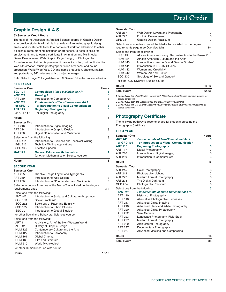# <span id="page-16-0"></span>**Graphic Design A.A.S.**

#### **63 Semester Credit Hours**

The goal of the Associate in Applied Science degree in Graphic Design is to provide students with skills in a variety of animated graphic design areas, and for students to build a portfolio of work for admission to either a baccalaureate-granting institution or art school, to acquire skills for employment, and to earn a certificate in Animation and Multimedia, Game Development, Web Graphic Page Design, or Photography.

Experience and training is presented in areas including, but not limited to, Web site creation, studio photographer, video broadcast and sound production, World Wide Web, CD and game production, photojournalism and portraiture, 3-D cutscene artist, project manager.

**Note:** Refer to page 25 for guidelines on IAI General Education course selection.

#### **FIRST YEAR**

| <b>Semester One</b>            |                                                                     | <b>Hours</b> |
|--------------------------------|---------------------------------------------------------------------|--------------|
| <b>EGL 101</b>                 | Composition I (also available as AP)                                | 3            |
| <b>ART 131</b>                 | <b>Drawing I</b>                                                    | 3            |
| <b>ART 250</b>                 | Introduction to Computer Art                                        | 3            |
| <b>ART 105</b>                 | <b>Fundamentals of Two-Dimensional Art I</b>                        |              |
| or GRD 101                     | or Introduction to Visual Communication                             | 3            |
| <b>ART 115</b>                 | <b>Beginning Photography</b>                                        | 3            |
| or ART 117                     | or Digital Photography                                              |              |
| <b>Hours</b>                   |                                                                     | 15           |
| <b>Semester Two</b>            |                                                                     |              |
| <b>ART 216</b>                 | Introduction to Digital Imaging                                     | 3            |
| <b>ART 224</b>                 | Introduction to Graphic Design                                      | 3            |
| <b>ART 268</b>                 | Digital 2D Animation and Multimedia                                 | 3            |
| Select one from the following: |                                                                     | 3            |
| <b>EGL 111</b>                 | Introduction to Business and Technical Writing                      |              |
| <b>EGL 212</b>                 | <b>Technical Writing Applications</b>                               |              |
| <b>SPE 103</b>                 | <b>Effective Speech</b>                                             |              |
| <b>MAT 125</b>                 | <b>General Education Mathematics</b>                                | 4            |
|                                | (or other Mathematics or Science course)                            |              |
| <b>Hours</b>                   |                                                                     | 16           |
| <b>SECOND YEAR</b>             |                                                                     |              |
| <b>Semester One</b>            |                                                                     |              |
| <b>ART 225</b>                 | Graphic Design Layout and Typography                                | 3            |
| <b>ART 259</b>                 | Introduction to Web Design                                          | 3            |
| <b>ART 260</b>                 | Introduction to 3D Animation and Multimedia                         | 3            |
|                                | Select one course from one of the Media Tracks listed on the degree |              |
| requirements page              |                                                                     | $3 - 4$      |
| Select one from the following: |                                                                     | 3            |
| <b>ANT 102</b>                 | Introduction to Social and Cultural Anthropology <sup>1</sup>       |              |
| SOC 103                        | Social Problems <sup>2</sup>                                        |              |
| SOC 232                        | Sociology of Race and Ethnicity <sup>3</sup>                        |              |
| <b>SSC 105</b>                 | Introduction to Ethnic Studies <sup>3</sup>                         |              |
| <b>SSC 201</b>                 | Introduction to Global Studies <sup>1</sup>                         |              |
|                                | or other Social and Behavioral Sciences course                      |              |
| Select one from the following: |                                                                     | 3            |
| ART 114                        | Art History: Art of the Non-Western World <sup>1</sup>              |              |
| <b>ART 125</b>                 | History of Graphic Design                                           |              |
| <b>HUM 122</b>                 | Contemporary Culture and the Arts                                   |              |
| <b>HUM 127</b>                 | Introduction to Philosophy                                          |              |
| <b>HUM 161</b>                 | Global Cinema <sup>1</sup>                                          |              |
| <b>HUM 162</b>                 | <b>Film and Literature</b>                                          |              |
| <b>HUM 210</b>                 | World Mythologies <sup>1</sup>                                      |              |
|                                | or other Humanities/Fine Arts course                                |              |

**Semester Two** 

| ART 267                        | Web Design Layout and Typography                                     | 3       |
|--------------------------------|----------------------------------------------------------------------|---------|
| ART 272                        | Portfolio Development                                                | 3       |
| GRD 251                        | Graphic Design Practicum                                             | 3       |
|                                | Select one course from one of the Media Tracks listed on the degree  |         |
|                                | requirements page (see Overview tab)                                 | $3 - 4$ |
| Select one from the following: |                                                                      | 3       |
| <b>HIS 115</b>                 | African American History: Reconstruction to the Present <sup>3</sup> |         |
| <b>HUM 124</b>                 | African-American Culture and the Arts <sup>3</sup>                   |         |
| <b>HUM 140</b>                 | Introduction to Women's and Gender Studies <sup>3</sup>              |         |
| <b>HUM 141</b>                 | Introduction to LGBTO Studies <sup>3</sup>                           |         |
| <b>HUM 142</b>                 | Women and Creativity <sup>3</sup>                                    |         |
| <b>HUM 242</b>                 | Women, Art and Culture <sup>3</sup>                                  |         |
| SOC 230                        | Sociology of Sex and Gender <sup>3</sup>                             |         |
|                                | or other U.S. Diversity Studies course                               |         |

| Hours              | $15 - 16$ |
|--------------------|-----------|
| <b>Total Hours</b> | 64-66     |
|                    |           |

1 Course fulfills the Global Studies Requirement. At least one Global Studies course is required for degree completion.

2 Course fulfills both, the Global Studies and U.S. Diversity Requirements.

3 Course fulfills the U.S. Diversity Requirement. At least one Global Studies course is required for degree completion.

### **Photography Certificate**

The following pathway is recommended for students pursuing the Photography Certificate.

#### **FIRST YEAR**

| <b>Semester One</b>            |                                                | <b>Hours</b> |
|--------------------------------|------------------------------------------------|--------------|
| <b>ART 105</b>                 | <b>Fundamentals of Two-Dimensional Art I</b>   | 3            |
| or GRD 101                     | or Introduction to Visual Communication        |              |
| <b>ART 115</b>                 | <b>Beginning Photography</b>                   | 3            |
| <b>ART 117</b>                 | Digital Photography                            | 3            |
| ART 216                        | Introduction to Digital Imaging                | 3            |
| <b>ART 250</b>                 | Introduction to Computer Art                   | 3            |
| <b>Hours</b>                   |                                                | 15           |
| <b>Semester Two</b>            |                                                |              |
| ART 215                        | Color Photography                              | 3            |
| <b>ART 219</b>                 | Photographic Lighting                          | 3            |
| <b>ART 227</b>                 | Medium Format Photography                      | 3            |
| <b>ART 278</b>                 | The Digital Darkroom                           | 3            |
| <b>GRD 254</b>                 | Photography Practicum                          | 3            |
| Select one from the following: |                                                | 3            |
| <b>ART 107</b>                 | <b>Fundamentals of Three-Dimensional Art I</b> |              |
| <b>ART 110</b>                 | History of Photography                         |              |
| <b>ART 116</b>                 | Alternative Photographic Processes             |              |
| <b>ART 217</b>                 | Advanced Digital Imaging                       |              |
| ART 218                        | Advanced Black and White Photography           |              |
| <b>ART 220</b>                 | <b>Advanced Digital Photography</b>            |              |
| <b>ART 222</b>                 | <b>View Camera</b>                             |              |
| <b>ART 223</b>                 | Landscape Photography Field Study              |              |
| <b>ART 227</b>                 | Medium Format Photography                      |              |
| <b>ART 230</b>                 | Architectural Photography                      |              |
| <b>ART 237</b>                 | Documentary Photography                        |              |
| <b>ART 257</b>                 | Advanced Masking and Compositing               |              |
| <b>Hours</b>                   |                                                | 18           |
| <b>Total Hours</b>             |                                                | 33           |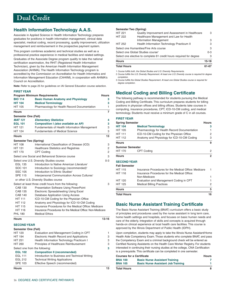# <span id="page-17-0"></span>**Health Information Technology A.A.S.**

Associate in Applied Science in Health Information Technology prepares graduates for positions in health information management, clinical data specialist, medical coding, record processing, quality improvement, utilization management and reimbursement in the prospective payment system.

This program combines academic and technical studies as well as a professional practice experience in medical facilities and related settings. Graduates of the Associate Degree program qualify to take the national certification examination, the RHIT (Registered Health Information Technician), given by the American Health Information Management Association (AHIMA). The Health Information Technology program is accredited by the Commission on Accreditation for Health Informatics and Information Management Education (CAHIIM), in cooperation with AHIMA's Council on Accreditation.

**Note:** Refer to page 25 for guidelines on IAI General Education course selection.

| <b>FIRST YEAR</b>              |                                                           |              |
|--------------------------------|-----------------------------------------------------------|--------------|
|                                | <b>Program Minimum Requirements</b>                       | <b>Hours</b> |
| <b>BIO 114</b>                 | <b>Basic Human Anatomy and Physiology</b>                 | 3            |
| <b>HIT 104</b>                 | <b>Medical Terminology</b>                                | 3            |
| <b>HIT 105</b>                 | Pharmacology for Health Record Documentation              | 1            |
| <b>Hours</b>                   |                                                           | 7            |
| Semester One (Fall)            |                                                           |              |
| <b>MAT 131</b>                 | <b>Elementary Statistics</b>                              | 4            |
| <b>EGL 101</b>                 | Composition I (also available as AP)                      | 3            |
| <b>HIT 121</b>                 | Fundamentals of Health Information Management             | 3            |
| <b>HIT 124</b>                 | <b>Fundamentals of Medical Science</b>                    | 3            |
| <b>Hours</b>                   |                                                           | 13           |
| <b>Semester Two (Spring)</b>   |                                                           |              |
| <b>HIT 108</b>                 | International Classification of Disease (ICD)             | 3            |
| <b>HIT 131</b>                 | <b>Healthcare Statistics and Registries</b>               | 2            |
| <b>HIT 170</b>                 | <b>CPT Coding</b>                                         | 2            |
|                                | Select one Social and Behavioral Science course           | 3            |
|                                | Select one U.S. Diversity Studies course:                 | 0-3          |
| <b>EGL 135</b>                 | Introduction to Native American Literature <sup>1</sup>   |              |
| SOC 101                        | Introduction to Sociology (recommended) <sup>2</sup>      |              |
| <b>SSC 105</b>                 | Introduction to Ethnic Studies <sup>2</sup>               |              |
| <b>SPE 115</b>                 | Interpersonal Communication Across Cultures <sup>1</sup>  |              |
|                                | or other U.S. Diversity Studies course                    |              |
|                                | Select at least three credit hours from the following:    | 3            |
| <b>CAB 130</b>                 | Presentation Software Using PowerPoint                    |              |
| <b>CAB 135</b>                 | <b>Electronic Spreadsheeting Using Excel</b>              |              |
| <b>CAB 140</b>                 | <b>Database Application Using Access</b>                  |              |
| <b>HIT 111</b>                 | ICD-10-CM Coding for the Physician Office                 |              |
| <b>HIT 112</b>                 | Anatomy and Physiology for ICD-10-CM Coding               |              |
| <b>HIT 115</b>                 | Insurance Procedures for the Medical Office: Medicare     |              |
| <b>HIT 116</b>                 | Insurance Procedures for the Medical Office: Non-Medicare |              |
| <b>PHL 180</b>                 | <b>Medical Ethics</b>                                     |              |
| <b>Hours</b>                   |                                                           | $13 - 16$    |
| <b>SECOND YEAR</b>             |                                                           |              |
| <b>Semester One (Fall)</b>     |                                                           |              |
| <b>HIT 120</b>                 | Evaluation and Management Coding in CPT                   | 1            |
| <b>HIT 194</b>                 | Electronic Health Record and Applications                 | З            |
| <b>HIT 251</b>                 | Health Information Technology Practicum I                 | 3            |
| <b>HIT 260</b>                 | Principles of Healthcare Reimbursement                    | 3            |
| Select one from the following: |                                                           | 3            |
| <b>EGL 102</b>                 | <b>Composition II (recommended)</b>                       |              |
| EGI 111                        | Introduction to Rusiness and Technical Writing            |              |

 EGL 111 Introduction to Business and Technical Writing EGL 212 Technical Writing Applications SPE 103 Effective Speech (recommended)

#### **Hours** 13

#### **Semester Two (Spring)**

| <b>Total Hours</b>                            |                                                                     | 61-67     |
|-----------------------------------------------|---------------------------------------------------------------------|-----------|
| <b>Hours</b>                                  |                                                                     | $15 - 18$ |
|                                               | Select one elective to complete 61 credit hours required for degree | 3         |
| Select one Global Studies course <sup>3</sup> |                                                                     | $0 - 3$   |
| Select one Humanities/Fine Arts course        |                                                                     | 3         |
| <b>HIT 252</b>                                | Health Information Technology Practicum II                          | З         |
|                                               | <b>Information Management</b>                                       | 3         |
| <b>HIT 222</b>                                | Healthcare Management and Law for Health                            |           |
| <b>HIT 221</b>                                | Quality Improvement and Assessment in Healthcare                    | 3         |

1 Course fulfills both, the Global Studies and U.S. Diversity Requirements.

2 Course fulfills the U.S. Diversity Requirement. At least one U.S. Diversity course is required for degree completion.

3 Course fulfills the Global Studies Requirement. At least one Global Studies course is required for degree completion.

# **Medical Coding and Billing Certificate**

The following pathway is recommended for students pursuing the Medical Coding and Billing Certificate. This curriculum prepares students for billing positions in physician offices and billing offices. Students take courses in computing, insurance procedures, CPT, ICD-10-CM coding, and medical terminology. Students must receive a minimum grade of C in all courses.

#### **FIRST YEAR**

| <b>Spring Semester</b> |                                                       | <b>Hours</b>   |
|------------------------|-------------------------------------------------------|----------------|
| <b>HIT 104</b>         | <b>Medical Terminology</b>                            | 3              |
| <b>HIT 105</b>         | Pharmacology for Health Record Documentation          |                |
| <b>HIT 111</b>         | ICD-10-CM Coding for the Physician Office             | 2              |
| <b>HIT 112</b>         | Anatomy and Physiology for ICD-10-CM Coding           | 3              |
| <b>Hours</b>           |                                                       | 9              |
| <b>Summer Semester</b> |                                                       |                |
| <b>HIT 170</b>         | CPT Coding                                            | $\overline{2}$ |
| <b>Hours</b>           |                                                       | $\overline{2}$ |
| <b>SECOND YEAR</b>     |                                                       |                |
| <b>Fall Semester</b>   |                                                       |                |
| <b>HIT 115</b>         | Insurance Procedures for the Medical Office: Medicare |                |
| <b>HIT 116</b>         | Insurance Procedures for the Medical Office:          |                |
|                        | Non-Medicare                                          | 1              |
| <b>HIT 120</b>         | Evaluation and Management Coding in CPT               |                |
| <b>HIT 125</b>         | <b>Medical Billing Practices</b>                      | 2              |
| <b>Hours</b>           |                                                       | 5              |
| <b>Total Hours</b>     |                                                       | 16             |

### **Basic Nurse Assistant Training Certificate**

The Basic Nurse Assistant Training (BNAT) curriculum offers a basic study of principles and procedures used by the nurse assistant in long term care, home health settings and hospitals, and focuses on basic human needs and care of the elderly. Integration of skills and concepts is acquired through hands-on clinical experience at local health care facilities. This course is approved by the Illinois Department of Public Health (IDPH).

Upon completion, students may apply to take the Illinois Nurse Assistant/Home Health Aide Competency Exam. Those students who complete BNAT, and pass the Competency Exam and a criminal background check will be entered as Certified Nursing Assistants on the Health Care Worker Registry. For students interested in continuing their nursing studies at the college, CNA Certification is a prerequisite. This certificate can be completed in one semester.

| <b>Courses for a Certificate</b> |                                           | <b>Hours</b> |
|----------------------------------|-------------------------------------------|--------------|
| <b>BNA 100</b>                   | <b>Basic Nurse Assistant Training</b>     |              |
| <b>BNA 105</b>                   | <b>Basic Nurse Assistant Job Training</b> |              |
| <b>Total Hours</b>               |                                           |              |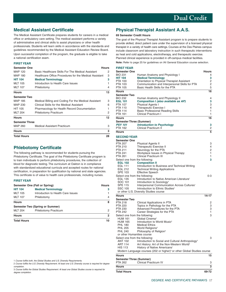# **Medical Assistant Certificate**

The Medical Assistant Certificate prepares students for careers in a medical office or ambulatory care setting. The medical assistant performs a variety of administrative and clinical skills to assist physicians or other health professionals. Students will learn skills in accordance with the standards and guidelines recommended by the Medical Assistant Education Review Board. Upon successful completion of the program, the graduate is eligible to take a national certification exam.

#### **FIRST YEAR**

| <b>Semester One</b>   |                                                        | <b>Hours</b>   |
|-----------------------|--------------------------------------------------------|----------------|
| MAP 120               | Basic Healthcare Skills For The Medical Assistant      | 2              |
| <b>MAP 180</b>        | Healthcare Office Procedures for the Medical Assistant | З              |
| <b>HIT 104</b>        | <b>Medical Terminology</b>                             | 3              |
| <b>MLT 105</b>        | Introduction to Health Care Issues                     | 1              |
| <b>MLT 107</b>        | Phlebotomy                                             | 4              |
| <b>Hours</b>          |                                                        | 13             |
| <b>Semester Two</b>   |                                                        |                |
| MAP 185               | Medical Billing and Coding For the Medical Assistant   | 3              |
| MAP 230               | Clinical Skills for the Medical Assistant              | 6              |
| <b>HIT 105</b>        | Pharmacology for Health Record Documentation           | 1              |
| <b>MLT 204</b>        | Phlebotomy Practicum                                   | $\overline{2}$ |
| <b>Hours</b>          |                                                        | 12             |
| <b>Semester Three</b> |                                                        |                |
| MAP 260               | Medical Assistant Practicum                            | 3              |
| Hours                 |                                                        | 3              |
| <b>Total Hours</b>    |                                                        | 28             |

# **Phlebotomy Certificate**

The following pathway is recommended for students pursuing the Phlebotomy Certificate. The goal of the Phlebotomy Certificate program is to train individuals to perform phlebotomy procedures, the collection of blood for diagnostic testing. The curriculum at Oakton is in compliance with standardized educational curricula and accepted routes for national certification, in preparation for qualification by national and state agencies. This certificate is of value to health care professionals, including nurses.

#### **FIRST YEAR**

| Semester One (Fall or Spring) |                                    | <b>Hours</b> |
|-------------------------------|------------------------------------|--------------|
| <b>HIT 104</b>                | <b>Medical Terminology</b>         | з            |
| <b>MLT 105</b>                | Introduction to Health Care Issues |              |
| <b>MLT 107</b>                | Phlebotomy                         | 4            |
| <b>Hours</b>                  |                                    | 8            |
|                               | Semester Two (Spring or Summer)    |              |
| <b>MLT 204</b>                | Phlebotomy Practicum               | 2            |
| <b>Hours</b>                  |                                    | 2            |
| <b>Total Hours</b>            |                                    | 10           |

2 Course fulfills the U.S. Diversity Requirement. At least one U.S. Diversity course is required for degree completion.

3 Course fulfills the Global Studies Requirement. At least one Global Studies course is required for degree completion.

# **Physical Therapist Assistant A.A.S.**

#### **69 Semester Credit Hours**

The goal of the Physical Therapist Assistant program is to prepare students to provide skilled, direct patient care under the supervision of a licensed physical therapist in a variety of health care settings. Courses at the Des Plaines campus include classroom and laboratory instruction in such therapeutic interventions as heat and cold applications, electrotherapy, and therapeutic exercise. Planned clinical experience is provided in off-campus medical facilities.

**Note:** Refer to page 25 for guidelines on IAI General Education course selection.

| <b>FIRST YEAR</b><br><b>Semester One</b><br><b>BIO 231</b><br><b>HIT 104</b><br><b>PTA 100</b><br>PTA 103<br><b>PTA 105</b><br><b>Hours</b><br><b>Semester Two</b><br><b>BIO 232</b><br><b>EGL 101</b><br><b>PTA 107</b><br><b>PTA 110</b><br><b>PTA 114</b><br><b>PTA 161</b><br><b>Hours</b> | Human Anatomy and Physiology I<br><b>Medical Terminology</b><br>Orientation to Physical Therapist Assistant<br>Communication and Interpersonal Skills for PTA<br>Basic Health Skills for the PTA<br>Human Anatomy and Physiology II<br>Composition I (also available as AP)<br>Physical Agents I<br>Therapeutic Exercise I<br><b>Basic Professional Reading Skills</b><br>Clinical Practicum I | Hours<br>4<br>3<br>2<br>2<br>5<br>16<br>4<br>3<br>3<br>4<br>1<br>1<br>16 |
|------------------------------------------------------------------------------------------------------------------------------------------------------------------------------------------------------------------------------------------------------------------------------------------------|------------------------------------------------------------------------------------------------------------------------------------------------------------------------------------------------------------------------------------------------------------------------------------------------------------------------------------------------------------------------------------------------|--------------------------------------------------------------------------|
| Semester Three (Summer)                                                                                                                                                                                                                                                                        |                                                                                                                                                                                                                                                                                                                                                                                                |                                                                          |
| PSY 101<br><b>PTA 162</b>                                                                                                                                                                                                                                                                      | <b>Introduction to Psychology</b><br><b>Clinical Practicum II</b>                                                                                                                                                                                                                                                                                                                              | 3<br>2                                                                   |
| <b>Hours</b>                                                                                                                                                                                                                                                                                   |                                                                                                                                                                                                                                                                                                                                                                                                | 5                                                                        |
|                                                                                                                                                                                                                                                                                                |                                                                                                                                                                                                                                                                                                                                                                                                |                                                                          |
| <b>SECOND YEAR</b>                                                                                                                                                                                                                                                                             |                                                                                                                                                                                                                                                                                                                                                                                                |                                                                          |
| <b>Semester One</b><br><b>PTA 207</b>                                                                                                                                                                                                                                                          | <b>Physical Agents II</b>                                                                                                                                                                                                                                                                                                                                                                      | 3                                                                        |
| <b>PTA 210</b>                                                                                                                                                                                                                                                                                 | Therapeutic Exercise II                                                                                                                                                                                                                                                                                                                                                                        | 4                                                                        |
| <b>PTA 211</b>                                                                                                                                                                                                                                                                                 | Neurology for the PTA                                                                                                                                                                                                                                                                                                                                                                          | 2                                                                        |
| <b>PTA 241</b>                                                                                                                                                                                                                                                                                 | Workplace Issues in Physical Therapy                                                                                                                                                                                                                                                                                                                                                           | 1                                                                        |
| <b>PTA 261</b><br>Select one from the following:                                                                                                                                                                                                                                               | Clinical Practicum III                                                                                                                                                                                                                                                                                                                                                                         | 1<br>3                                                                   |
| <b>EGL 102</b>                                                                                                                                                                                                                                                                                 | <b>Composition II</b>                                                                                                                                                                                                                                                                                                                                                                          |                                                                          |
| <b>EGL 111</b>                                                                                                                                                                                                                                                                                 | Introduction to Business and Technical Writing                                                                                                                                                                                                                                                                                                                                                 |                                                                          |
| EGL 212                                                                                                                                                                                                                                                                                        | <b>Technical Writing Applications</b>                                                                                                                                                                                                                                                                                                                                                          |                                                                          |
| SPE 103                                                                                                                                                                                                                                                                                        | <b>Effective Speech</b>                                                                                                                                                                                                                                                                                                                                                                        |                                                                          |
| Select one from the following:                                                                                                                                                                                                                                                                 |                                                                                                                                                                                                                                                                                                                                                                                                | 0-3                                                                      |
| EGL 135<br>SOC 101                                                                                                                                                                                                                                                                             | Introduction to Native American Literature <sup>1</sup>                                                                                                                                                                                                                                                                                                                                        |                                                                          |
| SPE 115                                                                                                                                                                                                                                                                                        | Introduction to Sociology <sup>2</sup><br>Interpersonal Communication Across Cultures <sup>1</sup>                                                                                                                                                                                                                                                                                             |                                                                          |
| <b>SSC 105</b>                                                                                                                                                                                                                                                                                 | Introduction to Ethnic Studies <sup>2</sup>                                                                                                                                                                                                                                                                                                                                                    |                                                                          |
|                                                                                                                                                                                                                                                                                                | or other U.S. Diversity Studies course                                                                                                                                                                                                                                                                                                                                                         |                                                                          |
| <b>Hours</b>                                                                                                                                                                                                                                                                                   |                                                                                                                                                                                                                                                                                                                                                                                                | 14-17                                                                    |
| <b>Semester Two</b>                                                                                                                                                                                                                                                                            |                                                                                                                                                                                                                                                                                                                                                                                                |                                                                          |
| <b>PTA 218</b>                                                                                                                                                                                                                                                                                 | Clinical Applications in PTA                                                                                                                                                                                                                                                                                                                                                                   | 2                                                                        |
| <b>PTA 220</b><br>PTA 230                                                                                                                                                                                                                                                                      | Topics in Pathology for the PTA<br>Advanced Procedures for the PTA                                                                                                                                                                                                                                                                                                                             | 3<br>3                                                                   |
| <b>PTA 242</b>                                                                                                                                                                                                                                                                                 | Career Strategies for the PTA                                                                                                                                                                                                                                                                                                                                                                  | 1                                                                        |
| Select one from the following:                                                                                                                                                                                                                                                                 |                                                                                                                                                                                                                                                                                                                                                                                                | 3                                                                        |
| <b>HUM 161</b>                                                                                                                                                                                                                                                                                 | Global Cinema <sup>3</sup>                                                                                                                                                                                                                                                                                                                                                                     |                                                                          |
| <b>HUM 165</b>                                                                                                                                                                                                                                                                                 | Introduction to World Music <sup>3</sup>                                                                                                                                                                                                                                                                                                                                                       |                                                                          |
| <b>PHL 180</b>                                                                                                                                                                                                                                                                                 | <b>Medical Ethics</b>                                                                                                                                                                                                                                                                                                                                                                          |                                                                          |
| <b>PHL 205</b><br><b>PHL 240</b>                                                                                                                                                                                                                                                               | World Religions <sup>3</sup><br>Philosophy of Religion <sup>3</sup>                                                                                                                                                                                                                                                                                                                            |                                                                          |
| or other Humanities course                                                                                                                                                                                                                                                                     |                                                                                                                                                                                                                                                                                                                                                                                                |                                                                          |
| Select one from the following:                                                                                                                                                                                                                                                                 |                                                                                                                                                                                                                                                                                                                                                                                                | 3                                                                        |
| ANT 102                                                                                                                                                                                                                                                                                        | Introduction to Social and Cultural Anthropology <sup>3</sup>                                                                                                                                                                                                                                                                                                                                  |                                                                          |
| <b>ART 114</b>                                                                                                                                                                                                                                                                                 | Art History: Art of the Non-Western World <sup>3</sup>                                                                                                                                                                                                                                                                                                                                         |                                                                          |
| HIS 113                                                                                                                                                                                                                                                                                        | History of Native Americans <sup>1</sup>                                                                                                                                                                                                                                                                                                                                                       |                                                                          |
|                                                                                                                                                                                                                                                                                                | Modern Language courses (202 or higher) <sup>3</sup> or other Global Studies course                                                                                                                                                                                                                                                                                                            |                                                                          |
| <b>Hours</b>                                                                                                                                                                                                                                                                                   |                                                                                                                                                                                                                                                                                                                                                                                                | 15                                                                       |
| <b>Semester Three (Summer)</b><br><b>PTA 262</b>                                                                                                                                                                                                                                               | <b>Clinical Practicum IV</b>                                                                                                                                                                                                                                                                                                                                                                   | З                                                                        |
| <b>Hours</b>                                                                                                                                                                                                                                                                                   |                                                                                                                                                                                                                                                                                                                                                                                                | 3                                                                        |
| <b>Total Hours</b>                                                                                                                                                                                                                                                                             |                                                                                                                                                                                                                                                                                                                                                                                                | 69-72                                                                    |
|                                                                                                                                                                                                                                                                                                |                                                                                                                                                                                                                                                                                                                                                                                                |                                                                          |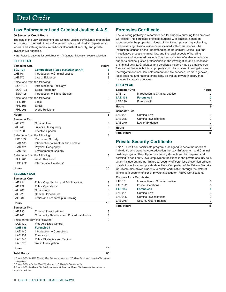# <span id="page-19-0"></span>**Law Enforcement and Criminal Justice A.A.S.**

#### **60 Semester Credit Hours**

The goal of the Law Enforcement and Criminal Justice curriculum is preparation for careers in the field of law enforcement: police and sheriffs' departments, federal and state agencies, retail/hospital/industrial security, and private investigative agencies.

**Note:** Refer to page 25 for guidelines on IAI General Education course selection.

#### **FIRST YEAR**

| <b>Semester One</b>            |                                             | <b>Hours</b> |
|--------------------------------|---------------------------------------------|--------------|
| <b>EGL 101</b>                 | Composition I (also available as AP)        | 3            |
| <b>LAE 101</b>                 | Introduction to Criminal Justice            | 3            |
| <b>LAE 270</b>                 | Law of Evidence                             | 3            |
| Select one from the following: |                                             | 3            |
| SOC 101                        | Introduction to Sociology <sup>1</sup>      |              |
| SOC 103                        | Social Problems <sup>2</sup>                |              |
| <b>SSC 105</b>                 | Introduction to Ethnic Studies <sup>1</sup> |              |
| Select one from the following: |                                             | 3            |
| <b>PHL 105</b>                 | Logic                                       |              |
| <b>PHL 106</b>                 | Ethics                                      |              |
| <b>PHL 205</b>                 | World Religions <sup>3</sup>                |              |
| <b>Hours</b>                   |                                             | 15           |
| <b>Semester Two</b>            |                                             |              |
| <b>LAE 221</b>                 | Criminal Law                                | 3            |
| <b>LAE 245</b>                 | Juvenile Delinquency                        | 3            |
| <b>SPE 103</b>                 | <b>Effective Speech</b>                     | 3            |
| Select one from the following: |                                             | 3            |
| <b>BIO 109</b>                 | <b>Plants and Society</b>                   |              |
| <b>EAS 105</b>                 | Introduction to Weather and Climate         |              |
| <b>EAS 121</b>                 | <b>Physical Geography</b>                   |              |
| <b>EAS 205</b>                 | <b>Environmental Geology</b>                |              |
| Select one from the following: |                                             | 3            |
| <b>PHL 205</b>                 | World Religions <sup>3</sup>                |              |
| <b>PSC 202</b>                 | International Relations <sup>3</sup>        |              |
| <b>Hours</b>                   |                                             | 15           |
| <b>SECOND YEAR</b>             |                                             |              |
| Semester One                   |                                             |              |
| <b>LAE 121</b>                 | Police Organization and Administration      | 3            |
| <b>LAE 122</b>                 | <b>Police Operations</b>                    | 3            |
| <b>LAE 201</b>                 | Criminology                                 | 3            |

| <b>Hours</b>        |                                            | 15 |
|---------------------|--------------------------------------------|----|
| <b>Semester Two</b> |                                            |    |
| LAE 235             | Criminal Investigations                    | 3  |
| <b>LAE 260</b>      | Community Relations and Procedural Justice | 3  |
|                     | Select three from the following:           | 9  |
| <b>LAE 130</b>      | Vice And Drug Control                      |    |
| <b>LAE 135</b>      | <b>Forensics I</b>                         |    |
| <b>LAE 140</b>      | Introduction to Corrections                |    |
| <b>LAE 239</b>      | Forensics II                               |    |
| <b>LAE 240</b>      | Police Strategies and Tactics              |    |
| <b>LAE 276</b>      | Traffic Investigation                      |    |
| <b>Hours</b>        |                                            | 15 |
| <b>Total Hours</b>  |                                            | 60 |

LAE 223 Criminal Procedures 3 LAE 234 Ethics and Leadership in Policing 3

1 Course fulfills the U.S. Diversity Requirement. At least one U.S. Diversity course is required for degree completion.

2 Course fulfills both, the Global Studies and U.S. Diversity Requirements.

3 Course fulfills the Global Studies Requirement. At least one Global Studies course is required for degree completion.

# **Forensics Certificate**

The following pathway is recommended for students pursuing the Forensics Certificate. This certificate provides students with practical hands on experience in the proper techniques of identifying, processing, collecting, and preserving physical evidence associated with crime scenes. The instruction focuses on the understanding of the criminal justice field, the investigative process, criminal law, and the legal aspects of handling evidence and recovered property. The forensic science/evidence technician supports criminal justice professionals in the investigation and prosecution of criminal activity. Graduates and certificate holders may be employed as forensic evidence technicians, property custodians, arson investigators and investigators for local law enforcement and fire services, federal agencies, local, regional and national crime labs, as well as private industry that includes insurance agencies.

### **FIRST YEAR**

| <b>Semester One</b>       |                                  | <b>Hours</b> |  |
|---------------------------|----------------------------------|--------------|--|
| <b>LAE 101</b>            | Introduction to Criminal Justice | З<br>3<br>3  |  |
| <b>LAE 135</b><br>LAE 239 | <b>Forensics I</b>               |              |  |
|                           | Forensics II                     |              |  |
| <b>Hours</b>              |                                  | 9            |  |
| <b>Semester Two</b>       |                                  |              |  |
| <b>LAE 221</b>            | Criminal Law                     | 3            |  |
| LAE 235                   | Criminal Investigations          | 3            |  |
| LAE 270                   | Law of Evidence                  | 3            |  |
| <b>Hours</b>              |                                  | 9            |  |
| <b>Total Hours</b>        |                                  | 18           |  |

### **Private Security Certificate**

This 18 credit-hour certificate program is designed to serve the needs of individuals who want the core education the Law Enforcement and Criminal Justice program offers. Upon completion, students will be prepared and certified to seek entry level employment positions in the private security field, which include but are not limited to: security officers, loss prevention officers, private inspectors, and private detectives. Completion of the Private Security Certificate also allows students to obtain certification through the state of Illinois as a security officer or private investigator (PERC Certification).

#### **Courses for a Certificate**

| <b>Total Hours</b> |                                  | 18 |
|--------------------|----------------------------------|----|
| <b>LAE 275</b>     | Security Guard Training          | 3  |
| LAE 235            | Criminal Investigations          | 3  |
| <b>LAE 221</b>     | Criminal Law                     | 3  |
| <b>LAE 135</b>     | <b>Forensics I</b>               | 3  |
| <b>LAE 122</b>     | <b>Police Operations</b>         | 3  |
| <b>LAE 101</b>     | Introduction to Criminal Justice | 3  |
|                    |                                  |    |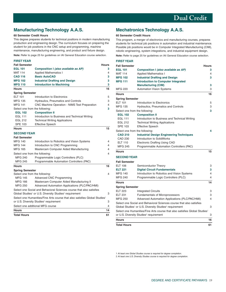# <span id="page-20-0"></span>**Manufacturing Technology A.A.S.**

#### **60 Semester Credit Hours**

This degree prepares students for technical positions in modern manufacturing production and engineering design. The curriculum focuses on preparing the student for job positions in the CNC setup and programming, machine maintenance, manufacturing engineering, and product and fixture design.

**Note:** Refer to page 25 for guidelines on IAI General Education course selection.

| <b>FIRST YEAR</b>              |                                                                                        |              |
|--------------------------------|----------------------------------------------------------------------------------------|--------------|
| <b>Fall Semester</b>           |                                                                                        | <b>Hours</b> |
| <b>EGL 101</b>                 | Composition I (also available as AP)                                                   | 3            |
| <b>MAT 114</b>                 | <b>Applied Mathematics I</b>                                                           | 4            |
| <b>CAD 116</b>                 | <b>Basic AutoCAD</b>                                                                   | 3            |
| <b>MFG 102</b>                 | <b>Industrial Drafting and Design</b>                                                  | 3            |
| <b>MFG 110</b>                 | <b>Introduction to Machining</b>                                                       | 3            |
| <b>Hours</b>                   |                                                                                        | 16           |
| <b>Spring Semester</b>         |                                                                                        |              |
| <b>ELT 101</b>                 | Introduction to Electronics                                                            | 5            |
| <b>MFG 135</b>                 | Hydraulics, Pneumatics and Controls                                                    | 3            |
| <b>MFG 141</b>                 | CNC Machine Operation - NIMS Test Preparation                                          | 4            |
| Select one from the following: |                                                                                        | 3            |
| <b>EGL 102</b>                 | <b>Composition II</b>                                                                  |              |
| <b>EGL 111</b>                 | Introduction to Business and Technical Writing                                         |              |
| <b>EGL 212</b>                 | <b>Technical Writing Applications</b>                                                  |              |
| <b>SPE 103</b>                 | <b>Effective Speech</b>                                                                |              |
| <b>Hours</b>                   |                                                                                        | 15           |
| <b>SECOND YEAR</b>             |                                                                                        |              |
| <b>Fall Semester</b>           |                                                                                        |              |
| <b>MFG 140</b>                 | Introduction to Robotics and Vision Systems                                            | 4            |
| <b>MFG 144</b>                 | Introduction to CNC Programming                                                        | 4            |
| <b>MFG 165</b>                 | Mastercam Computer Aided Manufacturing                                                 | 4            |
| Select one from the following: |                                                                                        | 4            |
| <b>MFG 240</b>                 | Programmable Logic Controllers (PLC)                                                   |              |
| <b>MFG 245</b>                 | Programmable Automation Controllers (PAC)                                              |              |
| <b>Hours</b>                   |                                                                                        | 16           |
| <b>Spring Semester</b>         |                                                                                        |              |
| Select one from the following: |                                                                                        | 4            |
| <b>MFG 145</b>                 | <b>Advanced CNC Programming</b>                                                        |              |
| <b>MFG 166</b>                 | Mastercam Computer Aided Manufacturing II                                              |              |
| MFG 250                        | Advanced Automation Applications (PLC/PAC/HMI)                                         |              |
|                                | Select one Social and Behavioral Sciences course that also satisfies                   |              |
|                                | Global Studies <sup>1</sup> or U.S. Diversity Studies <sup>2</sup> requirement         | 3            |
|                                | Select one Humanities/Fine Arts course that also satisfies Global Studies <sup>1</sup> |              |
|                                | or U.S. Diversity Studies <sup>2</sup> requirement                                     | 3            |
|                                | Select one additional MFG course                                                       | 4            |
| <b>Hours</b>                   |                                                                                        | 14           |
| <b>Total Hours</b>             |                                                                                        | 61           |

# **Mechatronics Technology A.A.S.**

#### **60 Semester Credit Hours**

This program, a merger of electronics and manufacturing courses, prepares students for technical job positions in automation and industrial maintenance. Possible job positions would be in Computer Integrated Manufacturing (CIM), robotic engineering, system integrations, and industrial equipment design.

**Note:** Refer to page 25 for guidelines on IAI General Education course selection.

| <b>FIRST YEAR</b>              |                                                                                        |              |
|--------------------------------|----------------------------------------------------------------------------------------|--------------|
| <b>Fall Semester</b>           |                                                                                        | <b>Hours</b> |
| <b>EGL 101</b>                 | Composition I (also available as AP)                                                   | 3.           |
| <b>MAT 114</b>                 | <b>Applied Mathematics I</b>                                                           | 4            |
| <b>MFG 102</b>                 | <b>Industrial Drafting and Design</b>                                                  | 3            |
| <b>MFG 111</b>                 | <b>Introduction to Computer Integrated</b>                                             |              |
|                                | <b>Manufacturing (CIM)</b>                                                             | 3            |
| <b>MFG 220</b>                 | <b>Automation Vision Systems</b>                                                       | 3            |
| <b>Hours</b>                   |                                                                                        | 16           |
| <b>Spring Semester</b>         |                                                                                        |              |
| <b>ELT 101</b>                 | Introduction to Electronics                                                            | 5            |
| <b>MFG 135</b>                 | <b>Hydraulics, Pneumatics and Controls</b>                                             | З            |
| Select one from the following: |                                                                                        | 3            |
| <b>EGL 102</b>                 | <b>Composition II</b>                                                                  |              |
| <b>EGL 111</b>                 | Introduction to Business and Technical Writing                                         |              |
| EGL 212                        | <b>Technical Writing Applications</b>                                                  |              |
| <b>SPE 103</b>                 | <b>Effective Speech</b>                                                                |              |
| Select one from the following: |                                                                                        | 4            |
| <b>CAD 210</b>                 | <b>Industrial Design Engineering Techniques</b>                                        |              |
| CAD 230                        | Introduction to SolidWorks                                                             |              |
| <b>ELT 110</b>                 | <b>Electronic Drafting Using CAD</b>                                                   |              |
| <b>MFG 245</b>                 | Programmable Automation Controllers (PAC)                                              |              |
| <b>Hours</b>                   |                                                                                        | 15           |
| <b>SECOND YEAR</b>             |                                                                                        |              |
| <b>Fall Semester</b>           |                                                                                        |              |
| <b>ELT 106</b>                 | Semiconductor Theory                                                                   | 3            |
| <b>ELT 221</b>                 | <b>Digital Circuit Fundamentals</b>                                                    | 3            |
| <b>MFG 140</b>                 | Introduction to Robotics and Vision Systems                                            | 4            |
| <b>MFG 240</b>                 | Programmable Logic Controllers (PLC)                                                   | 4            |
| <b>Hours</b>                   |                                                                                        | 14           |
| <b>Spring Semester</b>         |                                                                                        |              |
| <b>ELT 223</b>                 | <b>Integrated Circuits</b>                                                             | 3            |
| <b>ELT 231</b>                 | Fundamentals of Microprocessors                                                        | 3            |
| MFG 250                        | Advanced Automation Applications (PLC/PAC/HMI)                                         | 4            |
|                                | Select one Social and Behavioral Sciences course that also satisfies                   |              |
|                                | Global Studies <sup>1</sup> or U.S. Diversity Studies <sup>2</sup> requirement         | 3            |
|                                | Select one Humanities/Fine Arts course that also satisfies Global Studies <sup>1</sup> |              |
|                                | or U.S. Diversity Studies <sup>2</sup> requirement                                     | 3            |
| <b>Hours</b>                   |                                                                                        | 16           |
| <b>Total Hours</b>             |                                                                                        | 61           |

1 At least one Global Studies course is required for degree completion.

2 At least one U.S. Diversity Studies course is required for degree completion.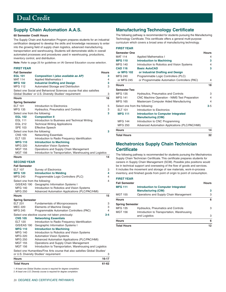# **Supply Chain Automation A.A.S.**

#### **60 Semester Credit Hours**

The Supply Chain and Automation Program prepares students for an industrial certification designed to develop the skills and knowledge necessary to enter into the growing field of supply chain logistics, advanced manufacturing, transportation and warehousing. Students will demonstrate skills in overall automated processes and procedures used in warehousing, productions, inventory control, and distribution.

**Note:** Refer to page 25 for guidelines on IAI General Education course selection.

#### **FIRST YEAR**

| <b>Fall Semester</b>             |                                                                                                                                                        | Hours   |
|----------------------------------|--------------------------------------------------------------------------------------------------------------------------------------------------------|---------|
| <b>EGL 101</b>                   | Composition I (also available as AP)                                                                                                                   | 3       |
| <b>MAT 114</b>                   | <b>Applied Mathematics I</b>                                                                                                                           | 4       |
| <b>MFG 102</b>                   | <b>Industrial Drafting and Design</b>                                                                                                                  | 3       |
| <b>MFG 112</b>                   | Automated Storage and Distribution                                                                                                                     | 3       |
|                                  | Select one Social and Behavioral Sciences course that also satisfies<br>Global Studies <sup>1</sup> or U.S. Diversity Studies <sup>2</sup> requirement | 3       |
| <b>Hours</b>                     |                                                                                                                                                        | 16      |
| <b>Spring Semester</b>           |                                                                                                                                                        |         |
| ELT 101                          | Introduction to Electronics                                                                                                                            | 5       |
| <b>MFG 135</b>                   | Hydraulics, Pneumatics and Controls                                                                                                                    | 3       |
| Select one from the following:   |                                                                                                                                                        | 3       |
| <b>EGL 102</b>                   | <b>Composition II</b>                                                                                                                                  |         |
| <b>EGL 111</b>                   | Introduction to Business and Technical Writing                                                                                                         |         |
| EGL 212                          | <b>Technical Writing Applications</b>                                                                                                                  |         |
| <b>SPE 103</b>                   | <b>Effective Speech</b>                                                                                                                                |         |
| Select one from the following:   |                                                                                                                                                        | 3       |
| <b>CNS 105</b>                   | <b>Networking Essentials</b>                                                                                                                           |         |
| ELT 120                          | Introduction to Radio Frequency Identification                                                                                                         |         |
| <b>MFG 110</b>                   | <b>Introduction to Machining</b>                                                                                                                       |         |
| <b>MFG 220</b>                   | <b>Automation Vision Systems</b>                                                                                                                       |         |
| <b>MGT 155</b><br><b>MGT 156</b> | Operations and Supply Chain Management<br>Introduction to Transportation, Warehousing and Logistics                                                    |         |
| <b>Hours</b>                     |                                                                                                                                                        | 14      |
|                                  |                                                                                                                                                        |         |
| <b>SECOND YEAR</b>               |                                                                                                                                                        |         |
| <b>Fall Semester</b>             |                                                                                                                                                        |         |
| <b>ELT 107</b>                   | <b>Survey of Electronics</b>                                                                                                                           | 3       |
| <b>MFG 120</b>                   | <b>Introduction to Welding</b>                                                                                                                         | 4       |
| <b>MFG 240</b>                   | Programmable Logic Controllers (PLC)                                                                                                                   | 4       |
| Select one from the following:   |                                                                                                                                                        | 4       |
| GIS/EAS 190                      | Geographic Information Systems I                                                                                                                       |         |
| <b>MFG 140</b>                   | Introduction to Robotics and Vision Systems                                                                                                            |         |
| <b>MFG 250</b>                   | Advanced Automation Applications (PLC/PAC/HMI)                                                                                                         |         |
| <b>Hours</b>                     |                                                                                                                                                        | 15      |
| <b>Spring Semester</b>           |                                                                                                                                                        |         |
| <b>ELT 231</b>                   | Fundamentals of Microprocessors                                                                                                                        | 3       |
| <b>MEC 220</b>                   | Elements of Machine Design                                                                                                                             | 3<br>4  |
| MFG 245                          | Programmable Automation Controllers (PAC)                                                                                                              |         |
|                                  | Select one elective course not taken previously:                                                                                                       | $3 - 4$ |
| <b>CNS 105</b><br><b>ELT 120</b> | <b>Networking Essentials</b>                                                                                                                           |         |
| GIS/EAS 190                      | Introduction to Radio Frequency Identification<br>Geographic Information Systems I                                                                     |         |
| <b>MFG 110</b>                   | <b>Introduction to Machining</b>                                                                                                                       |         |
| MFG 140                          | Introduction to Robotics and Vision Systems                                                                                                            |         |
| <b>MFG 220</b>                   | <b>Automation Vision Systems</b>                                                                                                                       |         |
| <b>MFG 250</b>                   | Advanced Automation Applications (PLC/PAC/HMI)                                                                                                         |         |
| <b>MGT 155</b>                   | Operations and Supply Chain Management                                                                                                                 |         |
| <b>MGT 156</b>                   | Introduction to Transportation, Warehousing and Logistics                                                                                              |         |
|                                  | Select one Humanities/Fine Arts course that also satisfies Global Studies <sup>1</sup>                                                                 |         |
|                                  | or U.S. Diversity Studies <sup>2</sup> requirement                                                                                                     | 3       |

| <b>Hours</b>       | 16-17 |
|--------------------|-------|
| <b>Total Hours</b> | 61-62 |

1 At least one Global Studies course is required for degree completion. 2 At least one U.S. Diversity course is required for degree completion.

# **Manufacturing Technology Certificate**

The following pathway is recommended for students pursuing the Manufacturing Technology Certificate. This certificate offers a general multi-purpose curriculum which covers a broad area of manufacturing technology.

#### **FIRST YEAR**

| <b>Semester One</b>            |                                                | <b>Hours</b> |
|--------------------------------|------------------------------------------------|--------------|
| <b>MAT 114</b>                 | <b>Applied Mathematics I</b>                   | 4            |
| <b>MFG 110</b>                 | <b>Introduction to Machining</b>               | 3            |
| <b>MFG 140</b>                 | Introduction to Robotics and Vision Systems    | 4            |
| <b>CAD 116</b>                 | <b>Basic AutoCAD</b>                           | 3            |
| or MFG 102                     | or Industrial Drafting and Design              |              |
| <b>MFG 240</b>                 | Programmable Logic Controllers (PLC)           |              |
| or MFG 245                     | or Programmable Automation Controllers (PAC)   | 4            |
| <b>Hours</b>                   |                                                | 18           |
| <b>Semester Two</b>            |                                                |              |
| <b>MFG 135</b>                 | <b>Hydraulics, Pneumatics and Controls</b>     | 3            |
| <b>MFG 141</b>                 | CNC Machine Operation - NIMS Test Preparation  | 4            |
| <b>MFG 165</b>                 | Mastercam Computer Aided Manufacturing         | 4            |
| Select one from the following: |                                                | $3 - 5$      |
| <b>ELT 101</b>                 | Introduction to Electronics                    |              |
| <b>MFG 111</b>                 | <b>Introduction to Computer Integrated</b>     |              |
|                                | <b>Manufacturing (CIM)</b>                     |              |
| <b>MFG 144</b>                 | Introduction to CNC Programming                |              |
| <b>MFG 250</b>                 | Advanced Automation Applications (PLC/PAC/HMI) |              |
| <b>Hours</b>                   |                                                | 14           |
| <b>Total Hours</b>             |                                                | 32           |

# **Mechatronics Supply Chain Technician Certificate**

The following pathway is recommended for students pursuing the Mechatronics Supply Chain Technician Certificate. This certificate prepares students for careers in Supply Chain Management (SCM). Possible jobs positions would be in technical support and overseeing of the flow of goods and services. It includes the movement and storage of raw materials, work-in-process inventory, and finished goods from point of origin to point of consumption.

#### **FIRST YEAR**

| <b>Fall Semester</b>   |                                             |                 |
|------------------------|---------------------------------------------|-----------------|
| <b>MFG 111</b>         | <b>Introduction to Computer Integrated</b>  |                 |
|                        | <b>Manufacturing (CIM)</b>                  | 3               |
| MGT 155                | Operations and Supply Chain Management      | 3               |
| <b>Hours</b>           |                                             | 6               |
| <b>Spring Semester</b> |                                             |                 |
| MFG 135                | <b>Hydraulics, Pneumatics and Controls</b>  | 3               |
| MGT 156                | Introduction to Transportation, Warehousing |                 |
|                        | and Logistics                               | 3               |
| <b>Hours</b>           |                                             | 6               |
| <b>Total Hours</b>     |                                             | 12 <sup>2</sup> |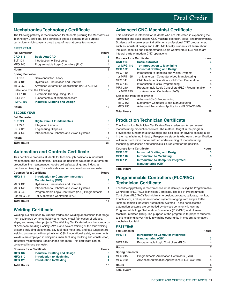# **Mechatronics Technology Certificate**

The following pathway is recommended for students pursuing the Mechatronics Technology Certificate. This certificate offers a general multi-purpose curriculum which covers a broad area of mechatronics technology.

#### **FIRST YEAR**

| <b>Fall Semester</b>           |                                                | <b>Hours</b> |
|--------------------------------|------------------------------------------------|--------------|
| <b>CAD 116</b>                 | <b>Basic AutoCAD</b>                           | 3            |
| <b>ELT 101</b>                 | Introduction to Electronics                    | 5            |
| <b>MFG 240</b>                 | Programmable Logic Controllers (PLC)           | 4            |
| <b>Hours</b>                   |                                                | 12           |
| <b>Spring Semester</b>         |                                                |              |
| ELT 106                        | Semiconductor Theory                           | 3            |
| MFG 135                        | <b>Hydraulics, Pneumatics and Controls</b>     | З            |
| MFG 250                        | Advanced Automation Applications (PLC/PAC/HMI) | 4            |
| Select one from the following: |                                                | 3            |
| <b>ELT 110</b>                 | <b>Electronic Drafting Using CAD</b>           |              |
| <b>ELT 231</b>                 | <b>Fundamentals of Microprocessors</b>         |              |
| <b>MFG 102</b>                 | <b>Industrial Drafting and Design</b>          |              |
| <b>Hours</b>                   |                                                | 13           |

#### **SECOND YEAR**

| <b>Total Hours</b>   |                                             | 38 |
|----------------------|---------------------------------------------|----|
| <b>Hours</b>         |                                             | 13 |
| <b>MFG 140</b>       | Introduction to Robotics and Vision Systems |    |
| <b>ENG 120</b>       | <b>Engineering Graphics</b>                 | 3  |
| <b>ELT 223</b>       | <b>Integrated Circuits</b>                  | 3  |
| <b>ELT 221</b>       | <b>Digital Circuit Fundamentals</b>         | з  |
| <b>Fall Semester</b> |                                             |    |

# **Automation and Controls Certificate**

This certificate prepares students for technical job positions in industrial maintenance and automation. Possible job positions would be in automated production line maintenance, robotic cell safeguarding, and industrial machine up keeping. This certificate can be completed in one semester.

| <b>Courses for a Certificate</b> |                                                   | <b>Hours</b> |
|----------------------------------|---------------------------------------------------|--------------|
| <b>MFG 111</b>                   | <b>Introduction to Computer Integrated</b>        |              |
|                                  | <b>Manufacturing (CIM)</b>                        | з            |
| <b>MFG 135</b>                   | <b>Hydraulics, Pneumatics and Controls</b>        | З            |
| <b>MFG 140</b>                   | Introduction to Robotics and Vision Systems       | 4            |
| <b>MFG 240</b>                   | Programmable Logic Controllers (PLC) Programmable | 4            |
| or MFG 245                       | or Automation Controllers (PAC)                   |              |
| <b>Total Hours</b>               |                                                   | 14           |

# **Welding Certificate**

Welding is a skill used by various trades and welding applications that range from sculptures by home hobbyist to heavy metal fabrication of bridges, ships, and many other projects. The Welding Certificate follows the standards of American Welding Society (AWS) and covers training of the four welding systems including electric arc, oxy-fuel, gas metal arc, and gas tungsten arc welding processes with emphasis on OSHA operational safety requirements. Welders are employed in shipyards, manufacturing, building and construction, industrial maintenance, repair shops and more. This certificate can be completed in one semester.

| <b>Courses for a Certificate</b> |                                       | Hours |
|----------------------------------|---------------------------------------|-------|
| <b>MFG 102</b>                   | <b>Industrial Drafting and Design</b> |       |
| <b>MFG 110</b>                   | <b>Introduction to Machining</b>      | 3     |
| <b>MFG 120</b>                   | <b>Introduction to Welding</b>        | 4     |
|                                  |                                       |       |

**Total Hours 10**

# **Advanced CNC Machinist Certificate**

This certificate is intended for students who are interested in expanding their knowledge and skills beyond CNC machine operation, setup, and programming. Students will acquire essential skills for a professional CNC programmer, such as industrial design and CAD. Additionally, students will learn about industrial robotics and Programmable Logic Controllers (PLC), which are integral parts of modern CNC operations.

| <b>Courses for a Certificate</b>                                                     |                                                                                                                                | <b>Hours</b> |
|--------------------------------------------------------------------------------------|--------------------------------------------------------------------------------------------------------------------------------|--------------|
| <b>CAD 116</b>                                                                       | <b>Basic AutoCAD</b>                                                                                                           | з            |
| or MFG 110                                                                           | or Introduction to Machining                                                                                                   |              |
| <b>MFG 102</b>                                                                       | <b>Industrial Drafting and Design</b>                                                                                          | 3            |
| <b>MFG 140</b>                                                                       | Introduction to Robotics and Vision Systems                                                                                    | 4            |
| or MFG 165                                                                           | or Mastercam Computer Aided Manufacturing                                                                                      |              |
| <b>MFG 141</b>                                                                       | <b>CNC Machine Operation - NIMS Test Preparation</b>                                                                           | 4            |
| <b>MFG 144</b>                                                                       | Introduction to CNC Programming                                                                                                | 4            |
| <b>MFG 240</b><br>or MFG 245                                                         | Programmable Logic Controllers (PLC) Programmable<br>or Automation Controllers (PAC)                                           | 4            |
| Select one from the following:<br><b>MFG 145</b><br><b>MFG 166</b><br><b>MFG 250</b> | <b>Advanced CNC Programming</b><br>Mastercam Computer Aided Manufacturing II<br>Advanced Automation Applications (PLC/PAC/HMI) | 4            |
| <b>Total Hours</b>                                                                   |                                                                                                                                | 26           |

### **Production Technician Certificate**

The Production Technician Certificate offers credentials for entry-level manufacturing production workers. The material taught in the program provides the fundamental knowledge and skill sets for anyone seeking a job in the manufacturing industry. Prospective students who earn the certification will enter production market with an understanding of manufacturing technology processes and technical skills required for the position.

| <b>Courses for a Certificate</b> |                                            | Hours |
|----------------------------------|--------------------------------------------|-------|
| MFG 102                          | <b>Industrial Drafting and Design</b>      | з.    |
| <b>MFG 110</b>                   | <b>Introduction to Machining</b>           | 3     |
| <b>MFG 111</b>                   | <b>Introduction to Computer Integrated</b> |       |
|                                  | <b>Manufacturing (CIM)</b>                 | 3     |

**Total Hours 9** 

# **Programmable Controllers (PLC/PAC) Technician Certificate**

The following pathway is recommended for students pursuing the Programmable Controllers (PLC/PAC) Technician Certificate. The job of Programmable Controllers (PLC/PAC) Technician is to design, program, calibrate, monitor, troubleshoot, and repair automation systems ranging from simple traffic lights to complex industrial automation systems. These sophisticated automation systems are controlled by devices commonly known as Programmable Logic/Automation Controllers (PLC/PAC) and Human Machine Interface (HMI). The purpose of the program is to prepare students to this challenging yet highly rewarding opportunity in modern automation/ mechatronics field.

#### **FIRST YEAR**

| <b>Fall Semester</b> |                                                | <b>Hours</b> |
|----------------------|------------------------------------------------|--------------|
| <b>MFG 111</b>       | <b>Introduction to Computer Integrated</b>     |              |
|                      | <b>Manufacturing (CIM)</b>                     | з            |
| MFG 240              | Programmable Logic Controllers (PLC)           |              |
| <b>Hours</b>         |                                                |              |
| Spring Semester      |                                                |              |
| MFG 245              | Programmable Automation Controllers (PAC)      | 4            |
| MFG 250              | Advanced Automation Applications (PLC/PAC/HMI) | 4            |
| <b>Hours</b>         |                                                | 8            |
| Total Hours          |                                                | 15           |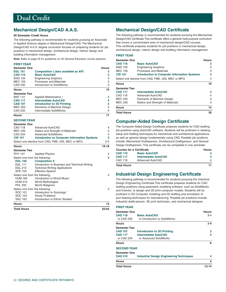# <span id="page-23-0"></span>**Mechanical Design/CAD A.A.S.**

#### **60 Semester Credit Hours**

The following pathway is recommended for students pursuing an Associate in Applied Science degree in Mechanical Design/CAD. The Mechanical Design/CAD A.A.S. degree curriculum focuses on preparing students for job positions in mechanical design, architectural design, interior design and building information management.

**Note:** Refer to page 25 for guidelines on IAI General Education course selection.

| <b>FIRST YEAR</b>                |                                                              |              |
|----------------------------------|--------------------------------------------------------------|--------------|
| <b>Semester One</b>              |                                                              | <b>Hours</b> |
| <b>EGL 101</b>                   | Composition I (also available as AP)                         | 3            |
| <b>CAD 116</b>                   | <b>Basic AutoCAD</b>                                         | 3            |
| <b>ENG 120</b>                   | <b>Engineering Graphics</b>                                  | 3            |
| <b>MEC 105</b><br><b>CAD 230</b> | <b>Processes and Materials</b><br>Introduction to SolidWorks | 3<br>4       |
|                                  |                                                              |              |
| <b>Hours</b>                     |                                                              | 16           |
| <b>Semester Two</b>              |                                                              |              |
| <b>MAT 114</b>                   | <b>Applied Mathematics I</b>                                 | 4            |
| <b>CAD 117</b>                   | <b>Intermediate AutoCAD</b>                                  | 4            |
| <b>CAD 107</b>                   | <b>Introduction to 3D Printing</b>                           | 2            |
| <b>MEC 220</b>                   | Elements of Machine Design                                   | 3            |
| CAD 232                          | Intermediate SolidWorks                                      | 4            |
| <b>Hours</b>                     |                                                              | 17           |
| <b>SECOND YEAR</b>               |                                                              |              |
| <b>Semester One</b>              |                                                              |              |
| CAD 118                          | Advanced AutoCAD                                             | 4            |
| <b>MEC 230</b>                   | Statics and Strength of Materials                            | 3            |
| <b>CAD 234</b>                   | <b>Advanced SolidWorks</b>                                   | 4            |
| <b>CIS 101</b>                   | <b>Introduction to Computer Information Systems</b>          | 3            |
|                                  | Select one elective from CAD, FME, GIS, MEC or MFG           | 2-4          |
| <b>Hours</b>                     |                                                              | $16 - 18$    |
| <b>Semester Two</b>              |                                                              |              |
| <b>PHY 101</b>                   | <b>Applied Physics</b>                                       | 4            |
| Select one from the following:   |                                                              | 3            |
| <b>EGL 102</b>                   | <b>Composition II</b>                                        |              |
| <b>EGL 111</b>                   | Introduction to Business and Technical Writing               |              |
| <b>EGL 212</b>                   | <b>Technical Writing Applications</b>                        |              |
| <b>SPE 103</b>                   | <b>Effective Speech</b>                                      |              |
| Select one from the following:   |                                                              | З            |
| <b>HUM 165</b>                   | Introduction to World Music <sup>1</sup>                     |              |
| <b>HUM 210</b>                   | World Mythologies <sup>1</sup>                               |              |
| <b>PHL 205</b>                   | World Religions <sup>1</sup>                                 |              |
| Select one from the following:   |                                                              | 3            |
| SOC 101                          | Introduction to Sociology <sup>2</sup>                       |              |
| SOC 103                          | Social Problems <sup>3</sup>                                 |              |
| <b>SSC 105</b>                   | Introduction to Ethnic Studies <sup>2</sup>                  |              |
| <b>Hours</b>                     |                                                              | 13           |
| <b>Total Hours</b>               |                                                              | 62-64        |

The following pathway is recommended for students pursuing the Mechanical Design/CAD Certificate.This certificate offers a general multi-purpose curriculum that covers a concentrated area of mechanical design/CAD courses. This certificate prepares students for job positions in mechanical design, architectural design, interior design and building information management.

**FIRST YEAR** 

| <b>Semester One</b>                                |                                                     |    |  |
|----------------------------------------------------|-----------------------------------------------------|----|--|
| <b>CAD 116</b>                                     | <b>Basic AutoCAD</b>                                | з  |  |
| <b>ENG 120</b>                                     | <b>Engineering Graphics</b>                         | 3  |  |
| <b>MEC 105</b>                                     | Processes and Materials                             | 3  |  |
| <b>CIS 101</b>                                     | <b>Introduction to Computer Information Systems</b> | 3  |  |
| Select one elective from CAD, FME, GIS, MEC or MFG |                                                     |    |  |
| <b>Hours</b>                                       |                                                     | 16 |  |
| <b>Semester Two</b>                                |                                                     |    |  |
| <b>CAD 117</b>                                     | <b>Intermediate AutoCAD</b>                         | 4  |  |
| CAD 118                                            | Advanced AutoCAD                                    | 4  |  |
| <b>MEC 220</b>                                     | Elements of Machine Design                          | 3  |  |
| <b>MEC 230</b>                                     | Statics and Strength of Materials                   | 3  |  |
| <b>Hours</b>                                       |                                                     | 14 |  |
| <b>Total Hours</b>                                 |                                                     | 30 |  |

### **Computer-Aided Design Certificate**

The Computer-Aided Design Certificate prepares students for CAD drafting job positions using AutoCAD software. Students will be proficient in drawing setup and drafting techniques for mechanical and architectural applications as well as general design fundamentals using CAD. Possible job positions include: Mechanical Draftsperson, Architectural Draftsperson, and General Design Draftsperson. This certificate can be completed in one semester.

| <b>Courses for a Certificate</b> |                             | <b>Hours</b> |  |
|----------------------------------|-----------------------------|--------------|--|
| <b>CAD 116</b>                   | <b>Basic AutoCAD</b>        |              |  |
| <b>CAD 117</b>                   | <b>Intermediate AutoCAD</b> | 4            |  |
| CAD 118                          | Advanced AutoCAD            |              |  |
| Tatal Hause                      |                             |              |  |

#### **Total Hours**

### **Industrial Design Engineering Certificate**

The following pathway is recommended for students pursuing the Industrial Design Engineering Certificate.This certificate prepares students for CAD drafting positions using parametric modeling software, such as SolidWorks and Inventor, to design and 3D print computer models. Students will be proficient in 3D Computer modeling and 2D drafting and annotation of part drawing techniques for manufacturing. Possible job positions include: Industrial drafts-person, 3D print technician, and mechanical designer.

| <b>FIRST YEAR</b> |  |  |
|-------------------|--|--|
|                   |  |  |

| Semester One       |                                                 | <b>Hours</b> |
|--------------------|-------------------------------------------------|--------------|
| <b>CAD 116</b>     | <b>Basic AutoCAD</b>                            | $3 - 4$      |
| or CAD 230         | or Introduction to SolidWorks                   |              |
| Hours              |                                                 | $3 - 4$      |
| Semester Two       |                                                 |              |
| <b>CAD 107</b>     | <b>Introduction to 3D Printing</b>              | 2            |
| <b>CAD 117</b>     | <b>Intermediate AutoCAD</b>                     | 4            |
| or CAD 234         | or Advanced SolidWorks                          |              |
| <b>Hours</b>       |                                                 | 6            |
| <b>SECOND YEAR</b> |                                                 |              |
| Semester One       |                                                 |              |
| <b>CAD 210</b>     | <b>Industrial Design Engineering Techniques</b> | 4            |
| <b>Hours</b>       |                                                 | 4            |
| <b>Total Hours</b> |                                                 | $13 - 14$    |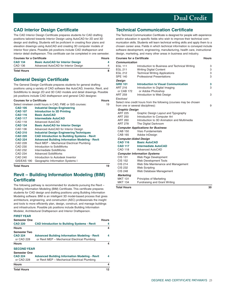# <span id="page-24-0"></span>**CAD Interior Design Certificate**

The CAD Interior Design Certificate prepares students for CAD drafting positions tailored towards Interior Design using AutoCAD for 2D and 3D design and drafting. Students will be proficient in creating floor plans and elevation drawings using AutoCAD and creating 3D computer models of interior floor plans. Possible job positions include CAD draftsperson and interior detail draftsperson. This certificate can be completed in one semester.

| <b>Courses for a Certificate</b> |                                          | Hours |
|----------------------------------|------------------------------------------|-------|
| <b>CAD 134</b>                   | <b>Basic AutoCAD for Interior Design</b> | 4     |
| CAD 136                          | Advanced AutoCAD for Interior Design     | 4     |
| <b>Total Hours</b>               |                                          | 8     |

## **General Design Certificate**

The General Design Certificate prepares students for general drafting positions using a variety of CAD software like AutoCAD, Inventor, Revit, and SolidWorks to design 2D and 3D CAD models and detail drawings. Possible job positions include CAD draftsperson and general CAD designer.

| <b>Courses for a Certificate</b> | <b>Hours</b> |
|----------------------------------|--------------|
|----------------------------------|--------------|

|                | Select nineteen credit hours in CAD, FME or GIS courses: | 19 |
|----------------|----------------------------------------------------------|----|
| <b>CAD 105</b> | <b>Industrial Design Engineering</b>                     |    |
| <b>CAD 107</b> | <b>Introduction to 3D Printing</b>                       |    |
| <b>CAD 116</b> | <b>Basic AutoCAD</b>                                     |    |
| <b>CAD 117</b> | <b>Intermediate AutoCAD</b>                              |    |
| CAD 118        | Advanced AutoCAD                                         |    |
| <b>CAD 134</b> | <b>Basic AutoCAD for Interior Design</b>                 |    |
| CAD 136        | Advanced AutoCAD for Interior Design                     |    |
| <b>CAD 210</b> | <b>Industrial Design Engineering Techniques</b>          |    |
| <b>CAD 220</b> | <b>CAD Introduction to Building Systems - Revit</b>      |    |
| <b>CAD 224</b> | <b>Advanced Building Information Modeling - Revit</b>    |    |
| CAD 228        | Revit MEP - Mechanical Electrical Plumbing               |    |
| CAD 230        | Introduction to SolidWorks                               |    |
| CAD 232        | Intermediate SolidWorks                                  |    |
| CAD 234        | <b>Advanced SolidWorks</b>                               |    |
| CAD 240        | Introduction to Autodesk Inventor                        |    |
| GIS/EAS 190    | Geographic Information Systems I                         |    |
|                |                                                          |    |

**Total Hours** 19

# **Revit – Building Information Modeling (BIM) Certificate**

The following pathway is recommended for students pursuing the Revit – Building Information Modeling (BIM) Certificate. This certificate prepares students for CAD design and drafting positions using Building Information Modeling software. BIM is an intelligent 3D model-based process that gives architecture, engineering, and construction (AEC) professionals the insight and tools to more efficiently plan, design, construct, and manage buildings and infrastructure. Possible job positions include Building Information Modeler, Architectural Draftsperson and Interior Draftsperson.

#### **FIRST YEAR**

| <b>Semester One</b> |                                                       | <b>Hours</b> |
|---------------------|-------------------------------------------------------|--------------|
| <b>CAD 220</b>      | <b>CAD Introduction to Building Systems - Revit</b>   | 4            |
| <b>Hours</b>        |                                                       | 4            |
| <b>Semester Two</b> |                                                       |              |
| <b>CAD 224</b>      | <b>Advanced Building Information Modeling - Revit</b> | 4            |
| or CAD 228          | or Revit MEP - Mechanical Electrical Plumbing         |              |
| <b>Hours</b>        |                                                       | 4            |
| <b>SECOND YEAR</b>  |                                                       |              |
| <b>Semester One</b> |                                                       |              |
| <b>CAD 224</b>      | <b>Advanced Building Information Modeling - Revit</b> | 4            |
| or CAD 228          | or Revit MEP - Mechanical Electrical Plumbing         |              |
| <b>Hours</b>        |                                                       | 4            |
| <b>Total Hours</b>  |                                                       | 12           |

# **Technical Communication Certificate**

The Technical Communication Certificate is designed for people with experience and/or education in specific fields who wish to improve their technical communication skills. Students will learn technical writing skills and apply them to a chosen career area. Fields in which technical information is conveyed include software development, engineering, manufacturing, health care, instructional design, marketing, and many other areas in business and industry.

| <b>Courses for a Certificate</b> |                                                                    | <b>Hours</b> |
|----------------------------------|--------------------------------------------------------------------|--------------|
| Communication                    |                                                                    |              |
| <b>EGL 111</b>                   | Introduction to Business and Technical Writing                     | З            |
| <b>EGL 211</b>                   | <b>Writing Digital Content</b>                                     | З            |
| <b>EGL 212</b>                   | <b>Technical Writing Applications</b>                              | 3            |
| <b>SPE 140</b>                   | <b>Professional Presentations</b>                                  | 3            |
| Design                           |                                                                    |              |
| <b>GRD 101</b>                   | <b>Introduction to Visual Communication</b>                        | 3            |
| ART 216                          | Introduction to Digital Imaging                                    | 3            |
| or CAB 172                       | or Adobe Photoshop                                                 |              |
| <b>ART 259</b>                   | Introduction to Web Design                                         | 3            |
| Electives <sup>1</sup>           |                                                                    |              |
|                                  | Select nine credit hours from the following (courses may be chosen |              |
|                                  | from one or several disciplines):                                  | 9            |
| <b>Graphic Design</b>            |                                                                    |              |
| <b>ART 225</b>                   | Graphic Design Layout and Typography                               |              |
| <b>ART 250</b>                   | Introduction to Computer Art                                       |              |
| ART 260                          | Introduction to 3D Animation and Multimedia                        |              |
| <b>ART 278</b>                   | The Digital Darkroom                                               |              |
|                                  | <b>Computer Applications for Business</b>                          |              |
| <b>CAB 150</b>                   | <b>Visio Fundamentals</b>                                          |              |
| <b>CAB 165</b>                   | Adobe InDesign                                                     |              |
| <b>Computer-Aided Design</b>     |                                                                    |              |
| <b>CAD 116</b>                   | <b>Basic AutoCAD</b>                                               |              |
| <b>CAD 117</b>                   | <b>Intermediate AutoCAD</b>                                        |              |
| <b>CAD 118</b>                   | Advanced AutoCAD                                                   |              |
|                                  | <b>Computer Information Systems</b>                                |              |
| CIS 131                          | Web Page Development                                               |              |
| CIS 152                          | Web Development Tools                                              |              |
| CIS 214                          | Web Site Maintenance and Management                                |              |
| <b>CIS 232</b>                   | <b>Web Scripting</b>                                               |              |
| <b>CIS 248</b>                   | Web Database Management                                            |              |
| <b>Marketing</b>                 |                                                                    |              |
| <b>MKT 131</b>                   | Principles of Marketing                                            |              |
| <b>MKT 134</b>                   | Fundraising and Grant Writing                                      |              |
| Tatal Hause                      |                                                                    | on.          |

**Total Hours 30**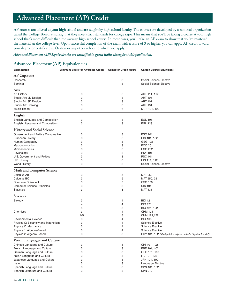# <span id="page-25-0"></span> **Advanced Placement (AP) Credit**

**AP courses are offered at your high school and are taught by high school faculty.** The courses are developed by a national organization called the College Board, ensuring that they meet strict standards for college rigor. This means that you'll be taking a course at your high school that's more difficult than the average high school course. In most cases, you'll take an AP exam to show that you've mastered the material at the college level. Upon successful completion of the exam with a score of 3 or higher, you can apply AP credit toward your degree or certificate at Oakton or any other school to which you apply.

*Advanced Placement (AP) Equivalencies are identified in green italics throughout this publication.*

# **Advanced Placement (AP) Equivalencies**

| Examination                          | <b>Minimum Score for Awarding Credit</b> | <b>Semester Credit Hours</b> | <b>Oakton Course Equivalent</b>                             |
|--------------------------------------|------------------------------------------|------------------------------|-------------------------------------------------------------|
| AP Capstone                          |                                          |                              |                                                             |
| Research                             |                                          | 3                            | Social Science Elective                                     |
| Seminar                              |                                          | 3                            | Social Science Elective                                     |
|                                      |                                          |                              |                                                             |
| Arts                                 |                                          |                              |                                                             |
| Art History                          | 3                                        | 6                            | ART 111, 112                                                |
| Studio Art: 2D Design                | 3                                        | 3                            | <b>ART 105</b>                                              |
| Studio Art: 3D Design                | 3                                        | 3                            | <b>ART 107</b>                                              |
| Studio Art: Drawing                  | 3                                        | 3                            | <b>ART 131</b>                                              |
| <b>Music Theory</b>                  | 3                                        | 6                            | MUS 121, 122                                                |
| English                              |                                          |                              |                                                             |
| English Language and Composition     | 3                                        | 3                            | <b>EGL 101</b>                                              |
| English Literature and Composition   | 3                                        | 3                            | <b>EGL 129</b>                                              |
|                                      |                                          |                              |                                                             |
| <b>History and Social Science</b>    |                                          |                              |                                                             |
| Government and Politics Comparative  | 3                                        | 3                            | <b>PSC 201</b>                                              |
| European History                     | 3                                        | 6                            | HIS 131, 132                                                |
| Human Geography                      | 3                                        | 3                            | <b>GEG 122</b>                                              |
| Macroeconomics                       | 3                                        | 3                            | ECO 201                                                     |
| Microeconomics                       | 3                                        | 3                            | <b>ECO 202</b>                                              |
| Psychology                           | 3                                        | 3                            | <b>PSY 101</b>                                              |
| U.S. Government and Politics         | 3                                        | 3                            | <b>PSC 101</b>                                              |
| U.S. History                         | 3                                        | 6                            | HIS 111, 112                                                |
| <b>World History</b>                 | 3                                        | 3                            | Social Science Elective                                     |
|                                      |                                          |                              |                                                             |
| Math and Computer Science            |                                          |                              |                                                             |
| Calculus AB                          | 3                                        | 5                            | <b>MAT 250</b>                                              |
| Calculus BC                          | 3                                        | 9                            | MAT 250, 251                                                |
| Computer Science A                   | 3                                        | 3                            | <b>CSC 156</b>                                              |
| <b>Computer Science Principles</b>   | 3                                        | 3                            | <b>CIS 101</b>                                              |
| <b>Statistics</b>                    | 3                                        | 3                            | <b>MAT 131</b>                                              |
| <b>Sciences</b>                      |                                          |                              |                                                             |
| Biology                              | 3                                        | 4                            | <b>BIO 121</b>                                              |
|                                      | 4                                        | 4                            | <b>BIO 121</b>                                              |
|                                      | 5                                        | 8                            | BIO 121, 122                                                |
| Chemistry                            | 3                                        | 4                            | <b>CHM 121</b>                                              |
|                                      | $4 - 5$                                  | 8                            | CHM 121,122                                                 |
| <b>Environmental Science</b>         | 3                                        | $\overline{4}$               | <b>BIO 106</b>                                              |
|                                      |                                          |                              |                                                             |
| Physics C: Electricity and Magnetism | 3                                        | 4                            | <b>Science Elective</b>                                     |
| Physics C: Mechanics                 | 3                                        | $\overline{4}$               | <b>Science Elective</b>                                     |
| Physics 1: Algebra-Based             | 3                                        | $\overline{4}$               | <b>Science Elective</b>                                     |
| Physics 2: Algebra-Based             | З                                        | 8                            | PHY 131, 132 (Must get 3 or higher on both Physics 1 and 2) |
| World Languages and Culture          |                                          |                              |                                                             |
| Chinese Language and Culture         | 3                                        | 8                            | CHI 101, 102                                                |
| French Language and Culture          | 3                                        | 8                            | FRE 101, 102                                                |
| German Language and Culture          | 3                                        | 8                            | GER 101, 102                                                |
| Italian Language and Culture         | 3                                        | 8                            | ITL 101, 102                                                |
| Japanese Language and Culture        | 3                                        | 8                            | JPN 101, 102                                                |
| Latin                                | 3                                        | 8                            | Language Elective                                           |
| Spanish Language and Culture         | 3                                        | 8                            | SPN 101, 102                                                |
| Spanish Literature and Culture       | 3                                        | 3                            | <b>SPN 210</b>                                              |
|                                      |                                          |                              |                                                             |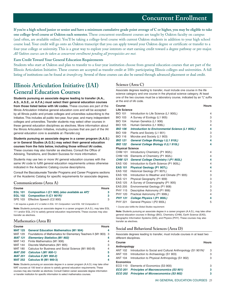# **Concurrent Enrollment**

<span id="page-26-0"></span>**If you're a high school junior or senior and have a minimum cumulative grade point average of C or higher, you may be eligible to take one college-level course at Oakton each semester.** These concurrent enrollment courses are taught by Oakton faculty on campus (and often, are available online). You'll be taking a college-level course with current Oakton students in addition to your high school course load. Your credit will go onto an Oakton transcript that you can apply toward your Oakton degree or certificate or transfer to a four-year college or university. This is a great way to explore your interests or start earning credit toward a degree pathway or pre-major. *All Oakton courses can be taken as concurrent enrollment pending all prerequisites are met.* 

#### **Earn Credit Toward Your General Education Requirements**

Students who start at Oakton and plan to transfer to a four-year institution choose from general education courses that are part of the Illinois Articulation Initiative. These courses are accepted as transfer credit at 100+ participating Illinois colleges and universities. A full listing of institutions can be found at *[itransfer.org](https://itransfer.org/)*. Several of these courses can also be earned through advanced placement or dual credit.

# **Illinois Articulation Initiative (IAI) General Education Courses**

**Students pursuing an associate degree leading to transfer (A.A., A.S., A.S.E., or A.F.A.) must select their general education courses from those listed below with IAI codes.** These courses are part of the Illinois Articulation Initiative general education core and will be accepted by all Illinois public and private colleges and universities subscribing to the Initiative. This includes all public two-year, four-year, and many independent colleges and universities. Transfer students may select other courses in these general education disciplines as electives. More information about the Illinois Articulation Initiative, including courses that are part of the IAI general education core is available at *[iTransfer.org](https://itransfer.org/)*.

**Students pursuing an associate degree in a career program (A.A.S.) or in General Studies (A.G.S.) may select their general education courses from the lists below, including those without IAI codes.**  These courses may also transfer as electives. Consult the Office of Advising, Transitions, and Student Success for more information.

Students may use two or more IAI general education courses with the same IAI code to fulfill general education requirements unless otherwise indicated in the Academic Catalog course descriptions.

Consult the Baccalaureate Transfer Programs and Career Programs sections of the Academic Catalog for specific requirements for associate degrees.

#### **Communications (Area A)**

| <b>Course</b> |                                                                    | <b>Hours</b> |
|---------------|--------------------------------------------------------------------|--------------|
|               | EGL 101 Composition I (C1 900) (also available as AP) <sup>1</sup> | з            |
|               | EGL 102 Composition II (C1 901R) <sup>1</sup>                      | з            |
|               | SPE 103 Effective Speech (C2 900)                                  | 3            |

1 IAI requires a grade of C or better in EGL 101 Composition I and EGL 102 Composition II.

**Note:** Students pursuing an associate degree in a career program (A.A.S.), may take EGL 111 and/or EGL 212 to satisfy general education requirements. These courses may also transfer as electives.

#### **Mathematics (Area B)**

| <b>Course</b>  | <b>Hours</b>                                                     |   |
|----------------|------------------------------------------------------------------|---|
| <b>MAT 125</b> | <b>General Education Mathematics (M1 904)</b>                    | 4 |
| <b>MAT 129</b> | Foundations of Mathematics for Elementary Teachers II (M1 903) 3 |   |
| <b>MAT 131</b> | <b>Elementary Statistics (M1 902)</b>                            |   |
| <b>MAT 143</b> | Finite Mathematics (M1 906)                                      | 4 |
| <b>MAT 144</b> | Discrete Mathematics (M1 905)                                    | 3 |
| <b>MAT 180</b> | Calculus for Business and Social Science (M1 900-B)              | 4 |
| <b>MAT 250</b> | <b>Calculus I (M1 900-1)</b>                                     | 5 |
| <b>MAT 251</b> | <b>Calculus II (M1 900-2)</b>                                    | 4 |
| <b>MAT 252</b> | <b>Calculus III (M1 900-3)</b>                                   |   |

**Note:** Students pursuing an associate degree in a career program (A.A.S.) may take other MAT courses at 100 level or above to satisfy general education requirements. These courses may also transfer as electives. Consult Oakton career associate degree information or transfer institution for specific information to select mathematics courses.

### **Science (Area C)**

Associate degrees leading to transfer, must include one course in the life science category and one course in the physical science category. At least one of the two courses must be a laboratory course, indicated by an "L" suffix at the end of IAI code.

| Course                  |                                                  | <b>Hours</b>   |  |  |
|-------------------------|--------------------------------------------------|----------------|--|--|
| <b>Life Science</b>     |                                                  |                |  |  |
| <b>BIO 101</b>          | Introduction to Life Science (L1 900L)           | 4              |  |  |
| <b>BIO 103</b>          | A Survey of Ecology (L1 905)                     | 3              |  |  |
| <b>BIO 104</b>          | Human Genetics (L1 906)                          | 3              |  |  |
| <b>BIO 105</b>          | Human Genetics (L1 906L)                         | 4              |  |  |
| <b>BIO 106</b>          | Introduction to Environmental Science (L1 905L)' | 4              |  |  |
| <b>BIO 109</b>          | Plants and Society (L1 901)                      | 3              |  |  |
| <b>BIO 116</b>          | Microbe and Society (L1 903)                     | 3              |  |  |
| <b>BIO 121</b>          | General College Biology I (L1 910L)              | 4              |  |  |
| <b>BIO 122</b>          | General College Biology II (L1 910L)             | 4              |  |  |
| <b>Physical Science</b> |                                                  |                |  |  |
| <b>CHM 101</b>          | Introductory Chemistry (P1 902L)                 | 4              |  |  |
| <b>CHM 105</b>          | Elements of Chemistry (P1 902L)                  | 4              |  |  |
| <b>CHM 121</b>          | <b>General College Chemistry I (P1 902L)</b>     | 4              |  |  |
| <b>EAS 100</b>          | Introduction to Earth Science (P1 905L)          | 4              |  |  |
| <b>EAS 101</b>          | <b>Physical Geology (P1 907L)</b>                | 4              |  |  |
| <b>EAS 102</b>          | Historical Geology (P1 907L)                     | 4              |  |  |
| <b>EAS 105</b>          | Introduction to Weather and Climate (P1 905)     | 3              |  |  |
| EAS 121                 | Physical Geography (P1 909)                      | 3              |  |  |
| <b>EAS 125</b>          | A Survey of Oceanography (P1 905)                | 3              |  |  |
| <b>EAS 205</b>          | Environmental Geology (P1 908)                   | 3              |  |  |
| <b>PHY 115</b>          | Descriptive Astronomy (P1 906)                   | 3              |  |  |
| <b>PHY 120</b>          | Practical Astronomy (P1 906L)                    | $\overline{4}$ |  |  |
| <b>PHY 131</b>          | <b>College Physics I (P1 900L)</b>               | 4              |  |  |
| <b>PHY 221</b>          | General Physics I (P2 900L)                      | 5              |  |  |
|                         |                                                  |                |  |  |

1 Course also fulfills the Global Studies requirement.

**Note:** Students pursuing an associate degree in a career program (A.A.S.), may take other general education courses in Biology (BIO), Chemistry (CHM), Earth Science (EAS), Geographic Information Systems (GIS), and Physics (PHY). These courses may also transfer as electives.

#### **Social and Behavioral Sciences (Area D)**

Associate degrees leading to transfer, must include courses in at least two different disciplines.

| <b>Course</b>    |                                                                         | <b>Hours</b> |  |
|------------------|-------------------------------------------------------------------------|--------------|--|
| Anthropology     |                                                                         |              |  |
| <b>ANT 102</b>   | Introduction to Social and Cultural Anthropology (S1 901N) <sup>1</sup> | 3            |  |
|                  | ANT 103 Introduction to Archaeology (S1 903)                            | 3            |  |
| ANT 104          | Introduction to Physical Anthropology (S1 902)                          | З            |  |
| <b>Economics</b> |                                                                         |              |  |
| ECO 110          | Elements of Economics (S3 900)                                          | 3            |  |
| <b>ECO 201</b>   | <b>Principles of Macroeconomics (S3 901)</b>                            | з            |  |
| <b>ECO 202</b>   | <b>Principles of Microeconomics (S3 902)</b>                            |              |  |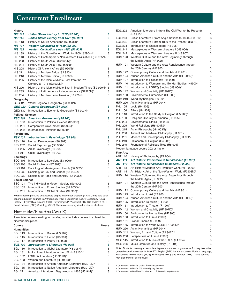# **Concurrent Enrollment**

#### **History**

| <b>HIS 111</b>           | United States History to 1877 (S2 900)                                                     | 3 |
|--------------------------|--------------------------------------------------------------------------------------------|---|
| <b>HIS 112</b>           | United States History from 1877 (S2 901)                                                   | 3 |
| <b>HIS 113</b>           | History of Native Americans (S2 923D) <sup>3</sup>                                         | 3 |
| <b>HIS 131</b>           | Western Civilization to 1650 (S2 902)                                                      | 3 |
| <b>HIS 132</b>           | <b>Western Civilization since 1650 (S2 903)</b>                                            | 3 |
| <b>HIS 139</b>           | History of the Non-Western World to 1900 (S2904N) <sup>1</sup>                             | 3 |
| <b>HIS 140</b>           | History of Contemporary Non-Western Civilizations (S2 905N) <sup>1</sup>                   | 3 |
| <b>HIS 203</b>           | History of South Asia I (S2 920N) <sup>1</sup>                                             | 3 |
| <b>HIS 204</b>           | History of South Asia II (S2 920N) <sup>1</sup>                                            | 3 |
| <b>HIS 208</b>           | History Of Ancient Africa (S2 920N) <sup>1</sup>                                           | 3 |
| <b>HIS 211</b>           | History of Modern Africa (S2 920N) <sup>1</sup>                                            | 3 |
| HIS 216                  | History of Modern China (S2 920N) <sup>1</sup>                                             | 3 |
| <b>HIS 225</b>           | History of the Islamic Middle East from the 7th                                            |   |
|                          | Century to 1918 (S2 920N) <sup>1</sup>                                                     | 3 |
| <b>HIS 226</b>           | History of the Islamic Middle East in Modern Times (S2 920N) <sup>1</sup>                  | 3 |
| <b>HIS 233</b>           | History of Latin America to Independence (S2920N) <sup>1</sup>                             | 3 |
| <b>HIS 234</b>           | History of Modern Latin America (S2 920N) <sup>1</sup>                                     | 3 |
| Geography                |                                                                                            |   |
| <b>GEG 120</b>           | World Regional Geography (S4 900N) <sup>1</sup>                                            | 3 |
| <b>GEG 122</b>           | <b>Cultural Geography (S4 900N)</b> <sup>1</sup>                                           | 3 |
| GEG 130                  | Introduction to Economic Geography (S4 903N) <sup>1</sup>                                  | 3 |
| <b>Political Science</b> |                                                                                            |   |
| <b>PSC 101</b>           | <b>American Government (S5 900)</b>                                                        | 3 |
| <b>PSC 103</b>           | Introduction to Political Science (S5 903)                                                 | 3 |
| <b>PSC 201</b>           | Comparative Government (S5 905) <sup>1</sup>                                               | 3 |
| <b>PSC 202</b>           | International Relations (S5 904) <sup>1</sup>                                              | 3 |
| Psychology               |                                                                                            |   |
| <b>PSY 101</b>           | Introduction to Psychology (S6 900)                                                        | 3 |
| <b>PSY 120</b>           | Human Development (S6 902)                                                                 | 3 |
| <b>PSY 202</b>           | Social Psychology (S8 900) <sup>2</sup>                                                    | 3 |
| <b>PSY 205</b>           | Adult Psychology (S6 905)                                                                  | 3 |
| <b>PSY 211</b>           | Child Psychology (S6 903)                                                                  | 3 |
| Sociology                |                                                                                            |   |
| SOC 101                  | Introduction to Sociology (S7 900) <sup>2</sup>                                            | 3 |
| SOC 103                  | Social Problems (S7 901) <sup>3</sup>                                                      | 3 |
| SOC 104                  | Sociology of Marriage and Family (S7 902) <sup>2</sup>                                     | 3 |
| <b>SOC 230</b>           | Sociology of Sex and Gender (S7 904D) <sup>2</sup>                                         | 3 |
| SOC 232                  | Sociology of Race and Ethnicity (S7 903D) <sup>2</sup>                                     | 3 |
| <b>Social Science</b>    |                                                                                            |   |
| <b>SSC 101</b>           | The Individual in Modern Society (S9 900)                                                  | 3 |
| <b>SSC 105</b>           | Introduction to Ethnic Studies (S7 903D) <sup>2</sup>                                      | 3 |
| <b>SSC 201</b>           | Introduction to Global Studies (S9 900) <sup>1</sup>                                       | 3 |
|                          | Note: Studente purcuing an accepiate degree in a career program $(A, A, C)$ mou take other |   |

**Note:** Students pursuing an associate degree in a career program (A.A.S.), may take other general education courses in Anthropology (ANT); Economics (ECO); Geography (GEG); History (HIS); Political Science (PSC); Psychology (PSY) (except PSY 230 and PSY 231); Social Science (SSC); Sociology (SOC). These courses may also transfer as electives.

#### **Humanities/Fine Arts (Area E)**

Associate degrees leading to transfer, must include courses in at least two different disciplines.

| Course         |                                                                   | <b>Hours</b> |  |  |  |
|----------------|-------------------------------------------------------------------|--------------|--|--|--|
|                | <b>Humanities</b>                                                 |              |  |  |  |
| <b>EGL 113</b> | Introduction to Drama (H3 902)                                    | 3            |  |  |  |
| <b>EGL 115</b> | Introduction to Fiction (H3 901)                                  | 3            |  |  |  |
| <b>EGL 117</b> | Introduction to Poetry (H3 903)                                   | 3            |  |  |  |
| <b>EGL 129</b> | Introduction to Literature (H3 900)                               | 3            |  |  |  |
| <b>EGL 130</b> | Introduction to Global Literature (H3 908N) <sup>1</sup>          | 3            |  |  |  |
| <b>EGL 131</b> | Multicultural Literature in the U.S. (H3 910D) <sup>2</sup>       | 3            |  |  |  |
| <b>EGL 132</b> | LGBTQ+ Literature (H3 $911D$ ) <sup>2</sup>                       | 3            |  |  |  |
| <b>EGL 133</b> | Women and Literature (H3 911D) <sup>2</sup>                       | 3            |  |  |  |
| <b>EGL 134</b> | Introduction to African-American Literature (H3910D) <sup>2</sup> | 3            |  |  |  |
| EGL 135        | Introduction to Native American Literature (H3910D) <sup>3</sup>  | 3            |  |  |  |
| <b>EGL 221</b> | American Literature I: Beginnings to 1865 (H3 914) <sup>2</sup>   | З            |  |  |  |
|                |                                                                   |              |  |  |  |

| <b>EGL 222</b>   | American Literature II (from The Civil War to the Present)                                 |   |
|------------------|--------------------------------------------------------------------------------------------|---|
|                  | $(H3915)^2$                                                                                | З |
| EGL 231          | British Literature I (from Anglo-Saxons to 1800) (H3 912)                                  | 3 |
| EGL 232          | British Literature II (from 1800 to the Present) (H3913)                                   | 3 |
| EGL 234          | Introduction to Shakespeare (H3 905)                                                       | 3 |
| EGL 241          | Masterpieces of Western Literature I (H3 906)                                              | 3 |
| EGL 242          | Masterpieces of Western Literature II (H3 907)                                             | 3 |
| HUM 120          | Western Culture and the Arts: Beginnings through                                           |   |
|                  | the Middle Ages (HF 902)                                                                   | 3 |
| <b>HUM 121</b>   | Western Culture and the Arts: Renaissance through                                          |   |
|                  | the 20th Century (HF 903)                                                                  | 3 |
| <b>HUM 122</b>   | Contemporary Culture and the Arts (HF 901)                                                 | 3 |
| HUM 124          | African-American Culture and the Arts (HF 906D) <sup>2</sup>                               | 3 |
| <b>HUM 127</b>   | Introduction to Philosophy (H4 900)                                                        | 3 |
| <b>HUM 140</b>   | Introduction to Women's and Gender Studies (H9900) <sup>2</sup>                            | 3 |
| <b>HUM 141</b>   | Introduction to LGBTQ Studies (H9 900) <sup>2</sup>                                        | 3 |
| HUM 142          | Women and Creativity (HF 907D) <sup>2</sup>                                                | 3 |
| <b>HUM 150</b>   | Environmental Humanities (HF 900)                                                          | 3 |
| HUM 210          | World Mythologies (H9 901) <sup>1</sup>                                                    | 3 |
| <b>HUM 220</b>   | Asian Humanities (HF 904N) <sup>1</sup>                                                    | 3 |
| <b>PHL 105</b>   | Logic (H4 906)                                                                             | 3 |
| PHL 106          | Ethics (H4 904)                                                                            | 3 |
| <b>PHL 110</b>   | Introduction to the Study of Religion (H5 900) <sup>1</sup>                                | 3 |
| PHL 130          | Religious Diversity in America (H5 905) <sup>2</sup>                                       | 3 |
| <b>PHL 204</b>   | Environmental Ethics (H4 904) <sup>1</sup>                                                 | 3 |
| PHL 205          | World Religions (H5 904N) <sup>1</sup>                                                     | 3 |
| <b>PHL 215</b>   | Asian Philosophy (H4 903N) <sup>1</sup>                                                    | З |
| <b>PHL 230</b>   | Ancient and Medieval Philosophy (H4 901)                                                   | 3 |
| <b>PHL 231</b>   | Modern and Contemporary Philosophy (H4 902)                                                | 3 |
| <b>PHL 240</b>   | Philosophy of Religion (H4 905)                                                            | 3 |
| <b>PHL 245</b>   | Foundational Religious Texts (H5 901)                                                      | 3 |
|                  | Modern language course 202 or higher <sup>1</sup>                                          |   |
| <b>Fine Arts</b> |                                                                                            |   |
| ART 110          | History of Photography (F2 904)                                                            | 3 |
| ART 111          | Art History: Prehistoric to Renaissance (F2 901)                                           | 3 |
| ART 112          | Art History: Renaissance to Modern (F2 902)                                                | 3 |
| ART 113          | Art History: Modern Art (Twentieth Century) (F2902)                                        | 3 |
| ART 114          | Art History: Art of the Non-Western World (F2903N) <sup>1</sup>                            | 3 |
| <b>HUM 120</b>   | Western Culture and the Arts: Beginnings through                                           |   |
|                  | the Middle Ages (HF 902)                                                                   | 3 |
| HUM 121          | Western Culture and the Arts: Renaissance through                                          |   |
|                  | the 20th Century (HF 903)                                                                  | 3 |
| <b>HUM 122</b>   | Contemporary Culture and the Arts (HF 901)                                                 | 3 |
| HUM 123          | Introduction to Art (F2 900)                                                               | 3 |
| <b>HUM 124</b>   | African-American Culture and the Arts (HF 906D) <sup>2</sup>                               | 3 |
| <b>HUM 125</b>   | Introduction To Music (F1 900)                                                             | 3 |
| <b>HUM 131</b>   | Introduction to Theater (F1 907)                                                           | 3 |
| HUM 142          | Women and Creativity (HF 907D) <sup>2</sup>                                                | 3 |
| <b>HUM 150</b>   | Environmental Humanities (HF 900)                                                          | 3 |
| HUM 160          | Introduction to Film (F2 909)                                                              | 3 |
| <b>HUM 161</b>   | Global Cinema (F2 909) <sup>1</sup>                                                        | 3 |
| <b>HUM 165</b>   | Introduction to World Music (F1 903N) <sup>1</sup>                                         | 3 |
| <b>HUM 220</b>   | Asian Humanities (HF 904N) <sup>1</sup>                                                    | 3 |
| <b>HUM 242</b>   | Women, Art and Culture (F2 907D) <sup>2</sup>                                              | 3 |
| HUM 260          | Perspectives on Film (F2 908)                                                              | 3 |
| MUS 145          | Introduction to Music of the U.S.A. (F1 904)                                               | 3 |
| MUS 236          | Music Literature and History (F1 901)                                                      | 3 |
|                  | Note: Students pursuing an associate degree in a career program (A.A.S.), may take other   |   |
|                  | general education courses in Art (ART); English (EGL) literature courses; Modern Language; |   |

Humanities (HUM); Music (MUS); Philosophy (PHL); and Theater (THE). These courses may also transfer as electives.

1 Course also fulfills the Global Studies requirement.

2 Course also fulfills the U.S. Diversity requirement.

3 Course also fulfills Global Studies and U.S. Diversity requirements.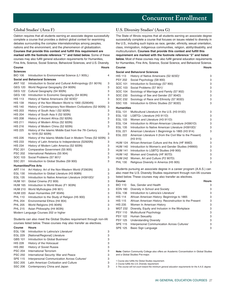# **Global Studies1 (Area F)**

Oakton requires that all students earning an associate degree successfully complete a course that provides a distinct global context for examining debates surrounding the complex interrelationships among peoples, nations and the environment, and the phenomenon of globalization. **Courses that provide this context and fulfill this requirement are marked with the footnote reference "1" and listed below.** Some of these courses may also fulfill general education requirements for Humanities, Fine Arts, Science, Social Science, Behavioral Sciences, and U.S. Diversity. **Course Hours Sciences**  BIO 106 Introduction to Environmental Science (L1 905L) 4 **Social and Behavioral Sciences**  ANT 102 Introduction to Social and Cultural Anthropology (S1 901N) 3 GEG 120 World Regional Geography (S4 900N) 3 GEG 122 Cultural Geography (S4 900N) 3 GEG 130 Introduction to Economic Geography (S4 903N) 3 HIS 113 History of Native Americans (S2 923D)<sup>2</sup> 3 HIS 139 History of the Non-Western World to 1900 (S2904N) 3 HIS 140 History of Contemporary Non-Western Civilizations (S2 905N) 3 HIS 203 History of South Asia I (S2 920N) 3 HIS 204 History of South Asia II (S2 920N) 3 HIS 208 History of Ancient Africa (S2 920N) 3 HIS 211 History of Modern Africa (S2 920N) 3 HIS 216 History of Modern China (S2 920N) 3 HIS 225 History of the Islamic Middle East from the 7th Century to 1918 (S2 920N) 3 HIS 226 History of the Islamic Middle East in Modern Times (S2 920N) 3 HIS 233 History of Latin America to Independence (S2920N) 3 HIS 234 History of Modern Latin America (S2 920N) 3 PSC 201 Comparative Government (S5 905) 3 PSC 202 International Relations (S5 904) 3 SOC 103 Social Problems (S7 901)<sup>2</sup> 3 SSC 201 Introduction to Global Studies (S9 900) 3 **Humanities/Fine Arts**  ART 114 Art History: Art of the Non-Western World (F2903N) 3 EGL 130 Introduction to Global Literature (H3 908N) 3 EGL 135 Introduction to Native American Literature (H3910D)<sup>2</sup> 3 HUM 161 Global Cinema (F2 909) 3 HUM 165 Introduction to World Music (F1 903N) 3 HUM 210 World Mythologies (H9 901) 3 HUM 220 Asian Humanities (HF 904N) 3 PHL 110 Introduction to the Study of Religion (H5 900) 3 PHL 204 Environmental Ethics (H4 904) 3 PHL 205 World Religions (H5 904N) 3 PHL 215 Asian Philosophy (H4 903N) 3 Modern Language Courses 202 or higher

Students can also meet the Global Studies requirement through non-IAI courses listed below. These courses may also transfer as electives.

| Course         | <b>Hours</b>                                             |   |
|----------------|----------------------------------------------------------|---|
| <b>EGL 136</b> | Introduction to Latino/a/x Literature <sup>2</sup>       | 3 |
| <b>EGL 229</b> | [National/Regional] Literature                           | 3 |
| GBS 101        | Introduction to Global Business <sup>3</sup>             | 3 |
| <b>HIS 228</b> | History of the Holocaust                                 | 3 |
| <b>HIS 260</b> | <b>History of Soviet Russia</b>                          | 3 |
| <b>PSC 204</b> | International Terrorism                                  | 3 |
| <b>PSC 250</b> | International Security: War and Peace                    | 3 |
| <b>SPE 115</b> | Interpersonal Communication Across Cultures <sup>2</sup> | 3 |
| <b>SSC 205</b> | Latin American Civilization and Culture                  | 3 |
| <b>SSC 206</b> | Contemporary China and Japan                             | 3 |

# $\rm U.S.$  Diversity Studies<sup>2</sup> (Area G)

The State of Illinois requires that all students earning an associate degree successfully complete a course that focuses on issues related to diversity in the U.S., including such topics as race, gender, ethnicity, sexual orientation, class, immigration, indigenous communities, religion, ability/disability, and multiculturalism. **Courses that provide this context and fulfill this requirement are marked with the footnote reference "2" and listed below.** Most of these courses may also fulfill general education requirements for Humanities, Fine Arts, Science, Social Science, and Behavioral Science. **Course Hours** 

| <b>Social and Behavioral Sciences</b> |                                                                  |   |
|---------------------------------------|------------------------------------------------------------------|---|
| <b>HIS 113</b>                        | History of Native Americans (S2 923D) <sup>1</sup>               | 3 |
| <b>PSY 202</b>                        | Social Psychology (S8 900)                                       | 3 |
| SOC 101                               | Introduction to Sociology (S7 900)                               | 3 |
| SOC 103                               | Social Problems (S7 901) <sup>1</sup>                            | 3 |
| SOC 104                               | Sociology of Marriage and Family (S7 902)                        | 3 |
| SOC 230                               | Sociology of Sex and Gender (S7 904D)                            | 3 |
| SOC 232                               | Sociology of Race and Ethnicity (S7 903D)                        | 3 |
| <b>SSC 105</b>                        | Introduction to Ethnic Studies (S7 903D)                         | 3 |
| <b>Humanities</b>                     |                                                                  |   |
| <b>EGL 131</b>                        | Multicultural Literature in the U.S. (H3 910D)                   | 3 |
| EGL 132                               | LGBTQ+ Literature (H3 911D)                                      | 3 |
| EGL 133                               | Women and Literature (H3 911D)                                   | 3 |
| <b>EGL 134</b>                        | Introduction to African-American Literature (H3901D)             | 3 |
| EGL 135                               | Introduction to Native American Literature (H3910D) <sup>1</sup> | 3 |
| EGL 221                               | American Literature I: Beginnings to 1865 (H3 914)               | 3 |
| EGL 222                               | American Literature II (from the Civil War to the Present)       |   |
|                                       | (H <sub>3</sub> 915)                                             | 3 |
| <b>HUM 124</b>                        | African-American Culture and the Arts (HF 906D)                  | 3 |
| <b>HUM 140</b>                        | Introduction to Women's and Gender Studies (H9900)               | 3 |
| <b>HUM 141</b>                        | Introduction to LGBTQ Studies (H9 900)                           | 3 |
| <b>HUM 142</b>                        | Women and Creativity (HF 907D)                                   | 3 |
| <b>HUM 242</b>                        | Women, Art and Culture (F2 907D)                                 | 3 |
| <b>PHL 130</b>                        | Religious Diversity in America (H5 905)                          | 3 |
|                                       |                                                                  |   |

Students pursuing an associate degree in a career program (A.A.S.) can also meet the U.S. Diversity Studies requirement through non-IAI courses listed below. These courses may also transfer as electives.

| Course         |                                                          | <b>Hours</b> |
|----------------|----------------------------------------------------------|--------------|
| <b>BIO 110</b> | Sex, Gender and Health                                   | З            |
| <b>EDN 180</b> | Diversity in School and Society                          | 3            |
| <b>EGL 136</b> | Introduction to Latino/a/x Literature <sup>1</sup>       | 3            |
| <b>HIS 114</b> | African American History: Beginnings to 1865             | 3            |
| <b>HIS 115</b> | African American History: Reconstruction to the Present  | 3            |
| <b>HIS 235</b> | Women In American History                                | 3            |
| MGT 232        | Diversity, Equity and Inclusion in the Workplace         | 3            |
| <b>PSY 110</b> | Multicultural Psychology                                 | 3            |
| <b>PSY 122</b> | Human Sexuality                                          | 3            |
| <b>PSY 125</b> | <b>Understanding Diversity</b>                           | 3            |
| <b>SPE 115</b> | Interpersonal Communication Across Cultures <sup>1</sup> | 3            |
| <b>SPE 125</b> | Basic Sign Language                                      | 3            |

**Note:** Oakton Community College also offers an Academic Concentration in Global Studies and a Global Studies Pre-major.

1 Course also fulfills the Global Studies requirement.

2 Course fulfills the U.S. Diversity requirement.

3 This course will not count toward the minimum general education requirements for the A.A.S. degree.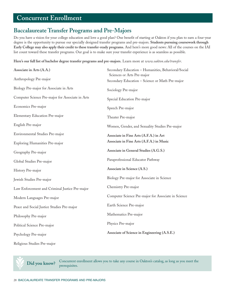# **Concurrent Enrollment**

# **Baccalaureate Transfer Programs and Pre-Majors**

Do you have a vision for your college education and love a good plan? One benefit of starting at Oakton if you plan to earn a four-year degree is the opportunity to pursue our specially designed transfer programs and pre-majors. **Students pursuing coursework through Early College may also apply their credit to these transfer-ready programs.** And here's more good news: All of the courses on the IAI list count toward these transfer programs. Our goal is to make sure your transfer experience is as seamless as possible.

**Here's our full list of bachelor degree transfer programs and pre-majors.** Learn more at *www.oakton.edu/transfer*.

| Associate in Arts (A.A.)                         | Secondary Education - Humanities, Behavioral/Social<br>Sciences or Arts Pre-major |
|--------------------------------------------------|-----------------------------------------------------------------------------------|
| Anthropology Pre-major                           | Secondary Education - Science or Math Pre-major                                   |
| Biology Pre-major for Associate in Arts          | Sociology Pre-major                                                               |
| Computer Science Pre-major for Associate in Arts | Special Education Pre-major                                                       |
| Economics Pre-major                              | Speech Pre-major                                                                  |
| Elementary Education Pre-major                   | Theater Pre-major                                                                 |
| English Pre-major                                | Women, Gender, and Sexuality Studies Pre-major                                    |
| Environmental Studies Pre-major                  | Associate in Fine Arts (A.F.A.) in Art                                            |
| Exploring Humanities Pre-major                   | Associate in Fine Arts (A.F.A.) in Music                                          |
| Geography Pre-major                              | Associate in General Studies (A.G.S.)                                             |
| Global Studies Pre-major                         | Paraprofessional Educator Pathway                                                 |
| History Pre-major                                | Associate in Science (A.S.)                                                       |
| Jewish Studies Pre-major                         | Biology Pre-major for Associate in Science                                        |
| Law Enforcement and Criminal Justice Pre-major   | Chemistry Pre-major                                                               |
| Modern Languages Pre-major                       | Computer Science Pre-major for Associate in Science                               |
| Peace and Social Justice Studies Pre-major       | Earth Science Pre-major                                                           |
| Philosophy Pre-major                             | Mathematics Pre-major                                                             |
| Political Science Pre-major                      | Physics Pre-major                                                                 |
| Psychology Pre-major                             | Associate of Science in Engineering (A.S.E.)                                      |
| Religious Studies Pre-major                      |                                                                                   |

**Did you know?** Concurrent enrollment allows you to take any course in Oakton's catalog, as long as you meet the prerequisites.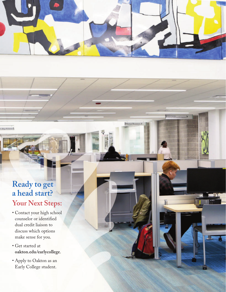

Human R

College Rebetson

# **Ready to get a head start? Your Next Steps:**

- Contact your high school counselor or identified dual credit liaison to discuss which options make sense for you.
- Get started at **[oakton.edu/earlycollege](https://www.oakton.edu/academics/early_college/index.php)**.
- Apply to Oakton as an Early College student.